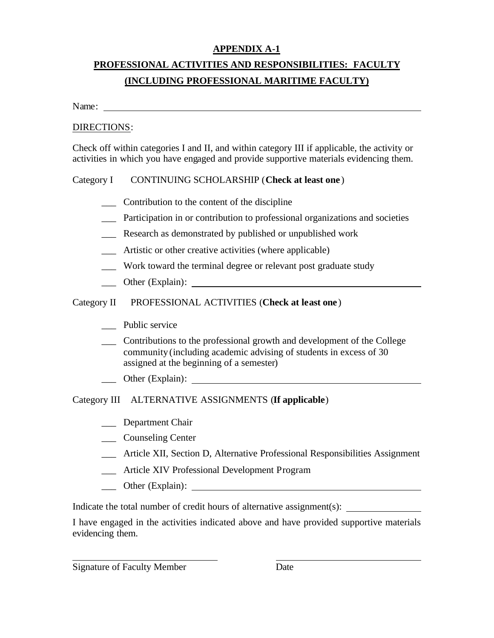#### **APPENDIX A-1**

## **PROFESSIONAL ACTIVITIES AND RESPONSIBILITIES: FACULTY (INCLUDING PROFESSIONAL MARITIME FACULTY)**

Name:

#### DIRECTIONS:

Check off within categories I and II, and within category III if applicable, the activity or activities in which you have engaged and provide supportive materials evidencing them.

#### Category I CONTINUING SCHOLARSHIP (**Check at least one** )

- \_\_\_ Contribution to the content of the discipline
- Participation in or contribution to professional organizations and societies
- \_\_\_ Research as demonstrated by published or unpublished work
- \_\_\_ Artistic or other creative activities (where applicable)
- \_\_\_ Work toward the terminal degree or relevant post graduate study
- \_\_\_ Other (Explain):

#### Category II PROFESSIONAL ACTIVITIES (**Check at least one**)

- \_\_\_ Public service
- \_\_\_ Contributions to the professional growth and development of the College community (including academic advising of students in excess of 30 assigned at the beginning of a semester)
- \_\_\_ Other (Explain):

#### Category III ALTERNATIVE ASSIGNMENTS (**If applicable**)

- Department Chair
- \_\_\_ Counseling Center
- \_\_\_ Article XII, Section D, Alternative Professional Responsibilities Assignment
- \_\_\_ Article XIV Professional Development Program
- \_\_\_ Other (Explain):

Indicate the total number of credit hours of alternative assignment(s):

I have engaged in the activities indicated above and have provided supportive materials evidencing them.

Signature of Faculty Member Date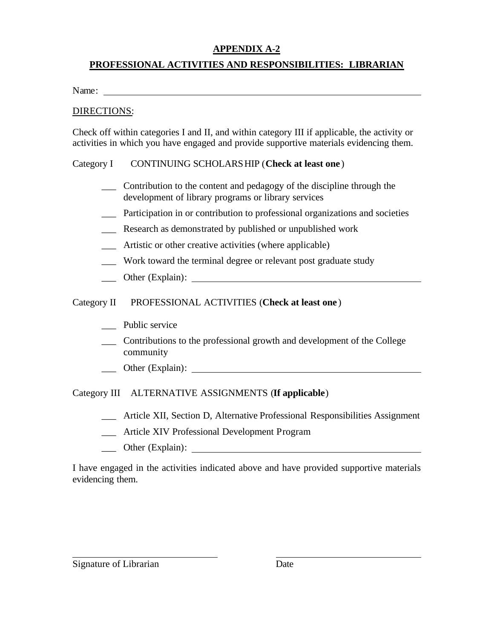### **APPENDIX A-2**

#### **PROFESSIONAL ACTIVITIES AND RESPONSIBILITIES: LIBRARIAN**

Name:

#### DIRECTIONS:

Check off within categories I and II, and within category III if applicable, the activity or activities in which you have engaged and provide supportive materials evidencing them.

#### Category I CONTINUING SCHOLARSHIP (**Check at least one** )

- \_\_\_ Contribution to the content and pedagogy of the discipline through the development of library programs or library services
- \_\_\_ Participation in or contribution to professional organizations and societies
- \_\_\_ Research as demonstrated by published or unpublished work
- Artistic or other creative activities (where applicable)
- Work toward the terminal degree or relevant post graduate study
- \_\_\_ Other (Explain):

Category II PROFESSIONAL ACTIVITIES (**Check at least one** )

- Public service
- \_\_\_ Contributions to the professional growth and development of the College community
- \_\_\_ Other (Explain):

Category III ALTERNATIVE ASSIGNMENTS (**If applicable**)

- \_\_\_ Article XII, Section D, Alternative Professional Responsibilities Assignment
- \_\_\_ Article XIV Professional Development Program
- \_\_\_ Other (Explain):

I have engaged in the activities indicated above and have provided supportive materials evidencing them.

Signature of Librarian Date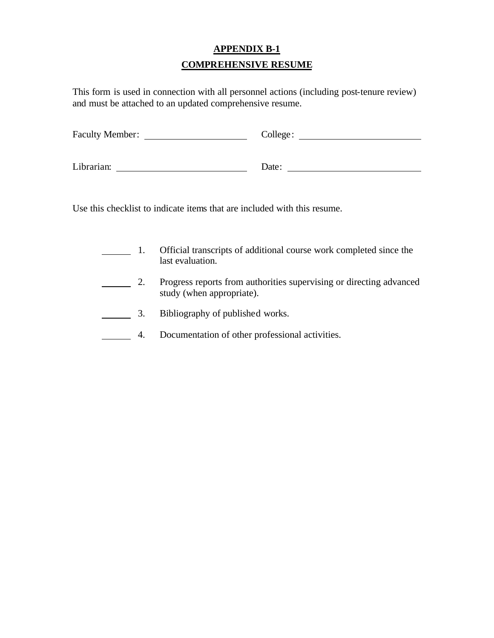## **APPENDIX B-1 COMPREHENSIVE RESUME**

This form is used in connection with all personnel actions (including post-tenure review) and must be attached to an updated comprehensive resume.

| <b>Faculty Member:</b> | College: |
|------------------------|----------|
| Librarian:             | Date:    |

Use this checklist to indicate items that are included with this resume.

- 1. Official transcripts of additional course work completed since the last evaluation.
- 2. Progress reports from authorities supervising or directing advanced study (when appropriate).
- 3. Bibliography of published works.
- 4. Documentation of other professional activities. $\overline{\phantom{a}}$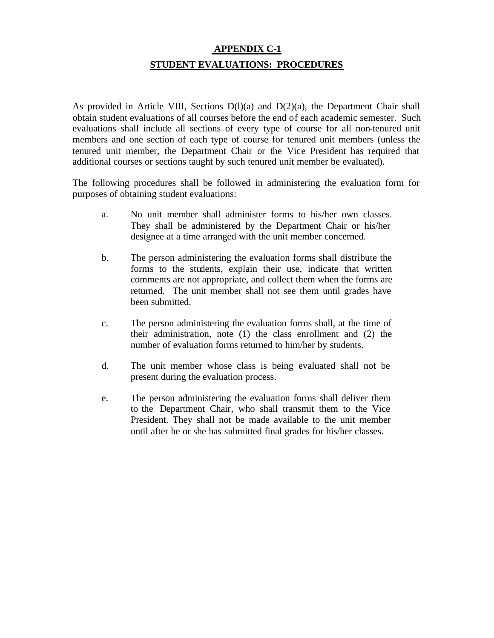## **APPENDIX C-1 STUDENT EVALUATIONS: PROCEDURES**

As provided in Article VIII, Sections D(l)(a) and D(2)(a), the Department Chair shall obtain student evaluations of all courses before the end of each academic semester. Such evaluations shall include all sections of every type of course for all non-tenured unit members and one section of each type of course for tenured unit members (unless the tenured unit member, the Department Chair or the Vice President has required that additional courses or sections taught by such tenured unit member be evaluated).

The following procedures shall be followed in administering the evaluation form for purposes of obtaining student evaluations:

- a. No unit member shall administer forms to his/her own classes. They shall be administered by the Department Chair or his/her designee at a time arranged with the unit member concerned.
- b. The person administering the evaluation forms shall distribute the forms to the students, explain their use, indicate that written comments are not appropriate, and collect them when the forms are returned. The unit member shall not see them until grades have been submitted.
- c. The person administering the evaluation forms shall, at the time of their administration, note (1) the class enrollment and (2) the number of evaluation forms returned to him/her by students.
- d. The unit member whose class is being evaluated shall not be present during the evaluation process.
- e. The person administering the evaluation forms shall deliver them to the Department Chair, who shall transmit them to the Vice President. They shall not be made available to the unit member until after he or she has submitted final grades for his/her classes.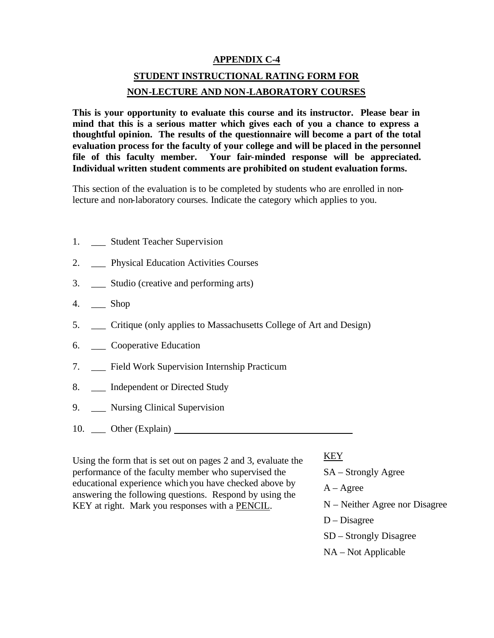#### **APPENDIX C-4**

## **STUDENT INSTRUCTIONAL RATING FORM FOR NON-LECTURE AND NON-LABORATORY COURSES**

**This is your opportunity to evaluate this course and its instructor. Please bear in mind that this is a serious matter which gives each of you a chance to express a thoughtful opinion. The results of the questionnaire will become a part of the total evaluation process for the faculty of your college and will be placed in the personnel file of this faculty member. Your fair-minded response will be appreciated. Individual written student comments are prohibited on student evaluation forms.** 

This section of the evaluation is to be completed by students who are enrolled in nonlecture and non-laboratory courses. Indicate the category which applies to you.

- 1. \_\_\_\_ Student Teacher Supervision
- 2. Physical Education Activities Courses
- 3. \_\_\_ Studio (creative and performing arts)
- 4. \_\_\_ Shop
- 5. \_\_\_ Critique (only applies to Massachusetts College of Art and Design)
- 6. \_\_\_ Cooperative Education
- 7. \_\_\_ Field Work Supervision Internship Practicum
- 8. \_\_\_ Independent or Directed Study
- 9. \_\_\_ Nursing Clinical Supervision
- 10. \_\_\_ Other (Explain)

Using the form that is set out on pages 2 and 3, evaluate the performance of the faculty member who supervised the educational experience which you have checked above by answering the following questions. Respond by using the KEY at right. Mark you responses with a PENCIL.

#### KEY

SA – Strongly Agree  $A - \text{Agree}$ N – Neither Agree nor Disagree D – Disagree SD – Strongly Disagree NA – Not Applicable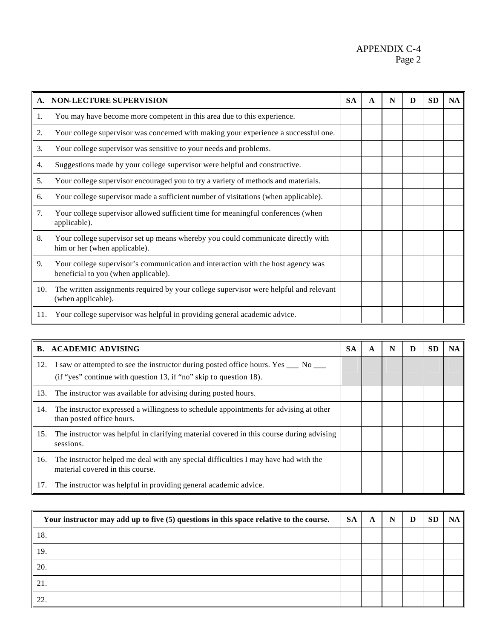#### APPENDIX C-4 Page 2

| A.  | <b>NON-LECTURE SUPERVISION</b>                                                                                           | <b>SA</b> | A | N | D | <b>SD</b> | <b>NA</b> |
|-----|--------------------------------------------------------------------------------------------------------------------------|-----------|---|---|---|-----------|-----------|
| 1.  | You may have become more competent in this area due to this experience.                                                  |           |   |   |   |           |           |
| 2.  | Your college supervisor was concerned with making your experience a successful one.                                      |           |   |   |   |           |           |
| 3.  | Your college supervisor was sensitive to your needs and problems.                                                        |           |   |   |   |           |           |
| 4.  | Suggestions made by your college supervisor were helpful and constructive.                                               |           |   |   |   |           |           |
| 5.  | Your college supervisor encouraged you to try a variety of methods and materials.                                        |           |   |   |   |           |           |
| 6.  | Your college supervisor made a sufficient number of visitations (when applicable).                                       |           |   |   |   |           |           |
| 7.  | Your college supervisor allowed sufficient time for meaningful conferences (when<br>applicable).                         |           |   |   |   |           |           |
| 8.  | Your college supervisor set up means whereby you could communicate directly with<br>him or her (when applicable).        |           |   |   |   |           |           |
| 9.  | Your college supervisor's communication and interaction with the host agency was<br>beneficial to you (when applicable). |           |   |   |   |           |           |
| 10. | The written assignments required by your college supervisor were helpful and relevant<br>(when applicable).              |           |   |   |   |           |           |
| 11. | Your college supervisor was helpful in providing general academic advice.                                                |           |   |   |   |           |           |

|     | <b>B. ACADEMIC ADVISING</b>                                                                                                                               | <b>SA</b> | A | N | D | SЕ | <b>NA</b> |
|-----|-----------------------------------------------------------------------------------------------------------------------------------------------------------|-----------|---|---|---|----|-----------|
| 12. | I saw or attempted to see the instructor during posted office hours. Yes ___ No ___<br>(if "yes" continue with question 13, if "no" skip to question 18). |           |   |   |   |    |           |
| 13. | The instructor was available for advising during posted hours.                                                                                            |           |   |   |   |    |           |
| 14. | The instructor expressed a willingness to schedule appointments for advising at other<br>than posted office hours.                                        |           |   |   |   |    |           |
| 15. | The instructor was helpful in clarifying material covered in this course during advising<br>sessions.                                                     |           |   |   |   |    |           |
| 16. | The instructor helped me deal with any special difficulties I may have had with the<br>material covered in this course.                                   |           |   |   |   |    |           |
| 17. | The instructor was helpful in providing general academic advice.                                                                                          |           |   |   |   |    |           |

| Your instructor may add up to five (5) questions in this space relative to the course. |  | SA<br>A | N | D | <b>SD</b> | NA |
|----------------------------------------------------------------------------------------|--|---------|---|---|-----------|----|
| 18.                                                                                    |  |         |   |   |           |    |
| 19.                                                                                    |  |         |   |   |           |    |
| 20.                                                                                    |  |         |   |   |           |    |
| 21.                                                                                    |  |         |   |   |           |    |
| 22                                                                                     |  |         |   |   |           |    |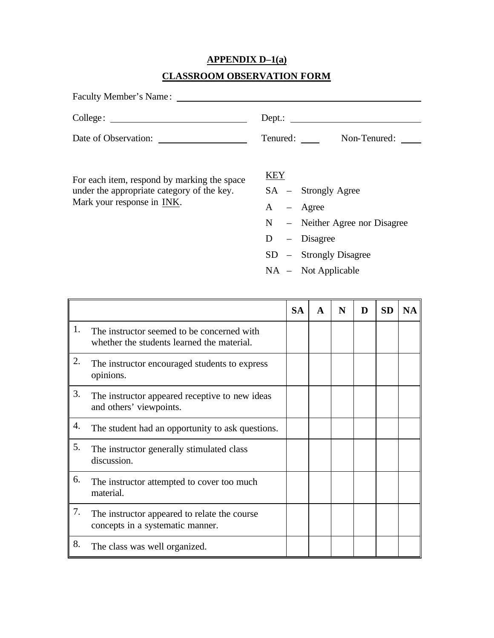# **APPENDIX D–1(a)**

## **CLASSROOM OBSERVATION FORM**

| Faculty Member's Name:                                                                                                  |                                                                                                                                    |
|-------------------------------------------------------------------------------------------------------------------------|------------------------------------------------------------------------------------------------------------------------------------|
|                                                                                                                         | $Dep.$ :                                                                                                                           |
| Date of Observation:                                                                                                    | Non-Tenured:<br>Tenured:                                                                                                           |
| For each item, respond by marking the space<br>under the appropriate category of the key.<br>Mark your response in INK. | KEY<br>$SA -$ Strongly Agree<br>$A - \text{Agree}$<br>$N -$ Neither Agree nor Disagree<br>$-$ Disagree<br>D<br>- Strongly Disagree |

NA – Not Applicable

|    |                                                                                          | <b>SA</b> | A | N | D | <b>SD</b> | NA. |
|----|------------------------------------------------------------------------------------------|-----------|---|---|---|-----------|-----|
| 1. | The instructor seemed to be concerned with<br>whether the students learned the material. |           |   |   |   |           |     |
| 2. | The instructor encouraged students to express<br>opinions.                               |           |   |   |   |           |     |
| 3. | The instructor appeared receptive to new ideas<br>and others' viewpoints.                |           |   |   |   |           |     |
| 4. | The student had an opportunity to ask questions.                                         |           |   |   |   |           |     |
| 5. | The instructor generally stimulated class<br>discussion.                                 |           |   |   |   |           |     |
| 6. | The instructor attempted to cover too much<br>material.                                  |           |   |   |   |           |     |
| 7. | The instructor appeared to relate the course<br>concepts in a systematic manner.         |           |   |   |   |           |     |
| 8. | The class was well organized.                                                            |           |   |   |   |           |     |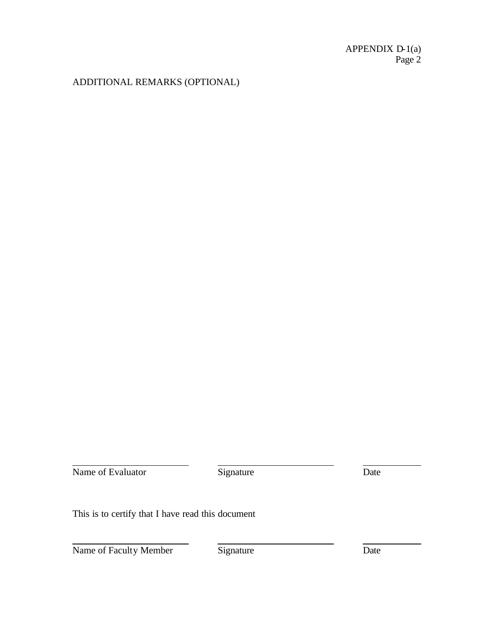### ADDITIONAL REMARKS (OPTIONAL)

Name of Evaluator Signature Date

This is to certify that I have read this document

Name of Faculty Member Signature Date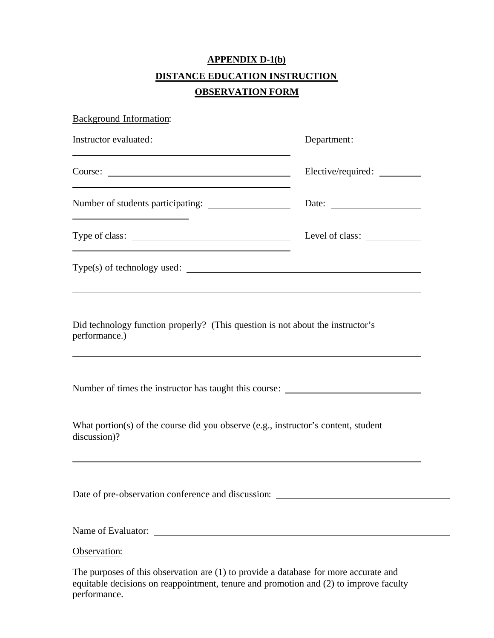## **APPENDIX D-1(b) DISTANCE EDUCATION INSTRUCTION OBSERVATION FORM**

| <b>Background Information:</b>                                                                                         |                                          |
|------------------------------------------------------------------------------------------------------------------------|------------------------------------------|
| <u> 1989 - Johann Stoff, deutscher Stoffen und der Stoffen und der Stoffen und der Stoffen und der Stoffen und der</u> |                                          |
|                                                                                                                        |                                          |
|                                                                                                                        |                                          |
| and the control of the control of the control of the control of the control of the control of the control of the       | Level of class: <u>_________________</u> |
| $Type(s)$ of technology used: $\_\_$                                                                                   |                                          |
| Did technology function properly? (This question is not about the instructor's<br>performance.)                        |                                          |
| Number of times the instructor has taught this course: _________________________                                       |                                          |
| What portion(s) of the course did you observe (e.g., instructor's content, student<br>discussion)?                     |                                          |
| Date of pre-observation conference and discussion: ______________________________                                      |                                          |
|                                                                                                                        |                                          |
| Observation:                                                                                                           |                                          |

The purposes of this observation are (1) to provide a database for more accurate and equitable decisions on reappointment, tenure and promotion and (2) to improve faculty performance.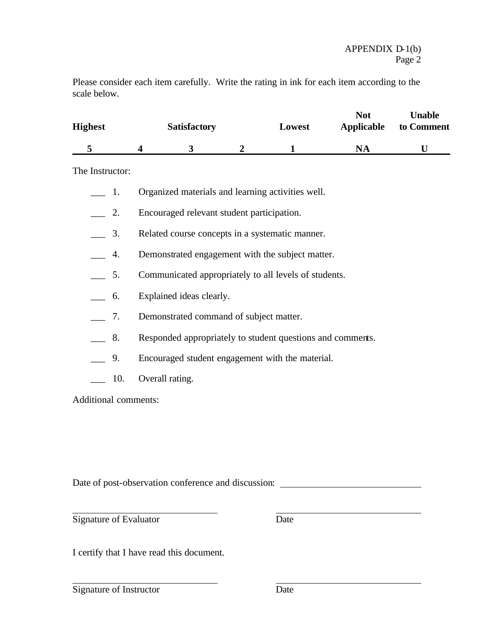Please consider each item carefully. Write the rating in ink for each item according to the scale below.

| <b>Highest</b> |  | <b>Satisfactory</b> | Lowest |  | <b>Not</b><br>Applicable | Unable<br>to Comment |  |  |
|----------------|--|---------------------|--------|--|--------------------------|----------------------|--|--|
|                |  |                     |        |  | NA                       |                      |  |  |

The Instructor:

- \_\_\_ 1. Organized materials and learning activities well.
- \_\_\_ 2. Encouraged relevant student participation.
- \_\_\_ 3. Related course concepts in a systematic manner.
- \_\_\_ 4. Demonstrated engagement with the subject matter.
- \_\_\_ 5. Communicated appropriately to all levels of students.
- \_\_\_ 6. Explained ideas clearly.
- \_\_\_ 7. Demonstrated command of subject matter.
- 8. Responded appropriately to student questions and comments.
- \_\_\_ 9. Encouraged student engagement with the material.
- \_\_\_ 10. Overall rating.

Additional comments:

Date of post-observation conference and discussion:

Signature of Evaluator Date

I certify that I have read this document.

Signature of Instructor Date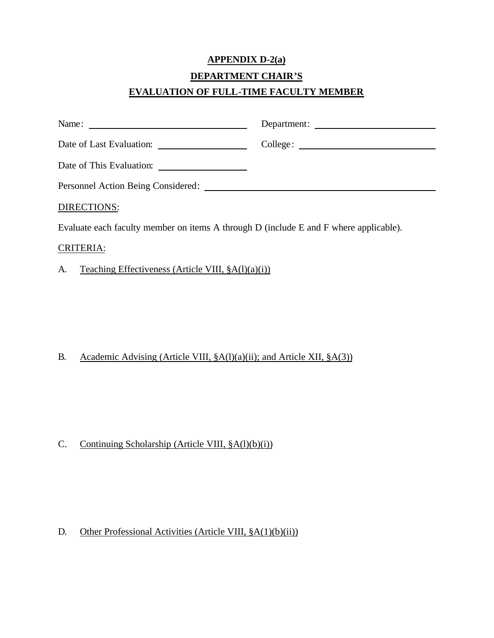## **APPENDIX D-2(a) DEPARTMENT CHAIR'S EVALUATION OF FULL-TIME FACULTY MEMBER**

|                    | Department: |
|--------------------|-------------|
|                    |             |
|                    |             |
|                    |             |
| <b>DIRECTIONS:</b> |             |

Evaluate each faculty member on items A through D (include E and F where applicable).

#### CRITERIA:

### A. Teaching Effectiveness (Article VIII,  $\S A(1)(a)(i)$ )

### B. Academic Advising (Article VIII,  $\S A(1)(a)(ii)$ ; and Article XII,  $\S A(3)$ )

### C. Continuing Scholarship (Article VIII,  $\S A(1)(b)(i)$ )

### D. Other Professional Activities (Article VIII,  $\S A(1)(b)(ii)$ )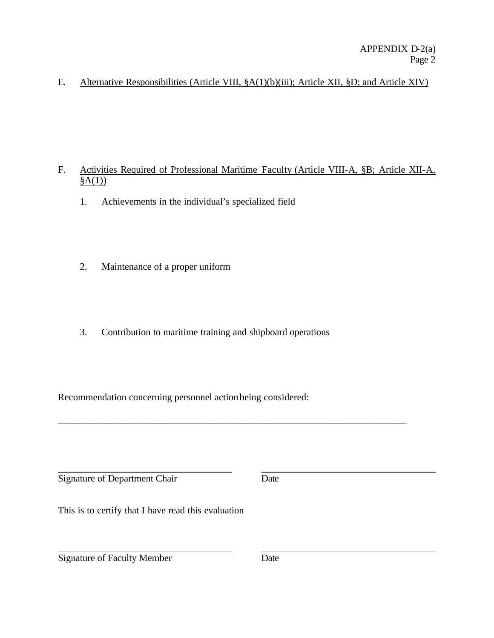E. Alternative Responsibilities (Article VIII, §A(1)(b)(iii); Article XII, §D; and Article XIV)

- F. Activities Required of Professional Maritime Faculty (Article VIII-A, §B; Article XII-A,  $§A(1))$ 
	- 1. Achievements in the individual's specialized field
	- 2. Maintenance of a proper uniform
	- 3. Contribution to maritime training and shipboard operations

\_\_\_\_\_\_\_\_\_\_\_\_\_\_\_\_\_\_\_\_\_\_\_\_\_\_\_\_\_\_\_\_\_\_\_\_\_\_\_\_\_\_\_\_\_\_\_\_\_\_\_\_\_\_\_\_\_\_\_\_\_\_\_\_\_\_\_\_\_\_\_\_

Recommendation concerning personnel action being considered:

Signature of Department Chair Date

This is to certify that I have read this evaluation

Signature of Faculty Member Date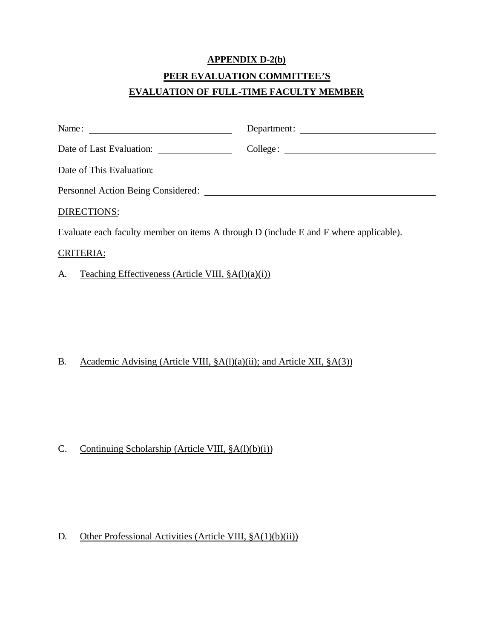## **APPENDIX D-2(b) PEER EVALUATION COMMITTEE'S EVALUATION OF FULL-TIME FACULTY MEMBER**

| Name: $\frac{1}{\sqrt{1-\frac{1}{2}} \cdot \frac{1}{2}}$                              | Department: |
|---------------------------------------------------------------------------------------|-------------|
|                                                                                       |             |
|                                                                                       |             |
|                                                                                       |             |
| DIRECTIONS:                                                                           |             |
| Evaluate each faculty member on items A through D (include E and F where applicable). |             |
| <b>CRITERIA:</b>                                                                      |             |

A. Teaching Effectiveness (Article VIII,  $\S A(1)(a)(i)$ )

### B. Academic Advising (Article VIII,  $\S A(1)(a)(ii)$ ; and Article XII,  $\S A(3)$ )

### C. Continuing Scholarship (Article VIII,  $\S A(1)(b)(i)$ )

#### D. Other Professional Activities (Article VIII,  $\S A(1)(b)(ii)$ )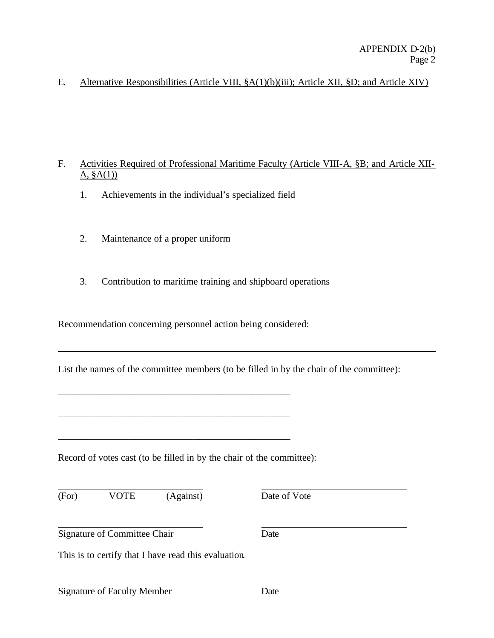#### E. Alternative Responsibilities (Article VIII, §A(1)(b)(iii); Article XII, §D; and Article XIV)

#### F. Activities Required of Professional Maritime Faculty (Article VIII-A, §B; and Article XII- $A, §A(1)$

- 1. Achievements in the individual's specialized field
- 2. Maintenance of a proper uniform
- 3. Contribution to maritime training and shipboard operations

Recommendation concerning personnel action being considered:

\_\_\_\_\_\_\_\_\_\_\_\_\_\_\_\_\_\_\_\_\_\_\_\_\_\_\_\_\_\_\_\_\_\_\_\_\_\_\_\_\_\_\_\_\_\_\_\_

\_\_\_\_\_\_\_\_\_\_\_\_\_\_\_\_\_\_\_\_\_\_\_\_\_\_\_\_\_\_\_\_\_\_\_\_\_\_\_\_\_\_\_\_\_\_\_\_

\_\_\_\_\_\_\_\_\_\_\_\_\_\_\_\_\_\_\_\_\_\_\_\_\_\_\_\_\_\_\_\_\_\_\_\_\_\_\_\_\_\_\_\_\_\_\_\_

List the names of the committee members (to be filled in by the chair of the committee):

Record of votes cast (to be filled in by the chair of the committee):

(For) VOTE (Against) Date of Vote

Signature of Committee Chair Date

This is to certify that I have read this evaluation.

Signature of Faculty Member Date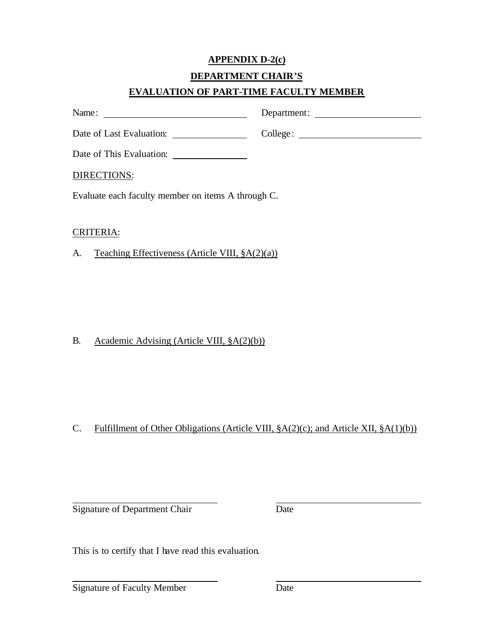## **APPENDIX D-2(c)**

#### **DEPARTMENT CHAIR'S**

### **EVALUATION OF PART-TIME FACULTY MEMBER**

| Name:                                                       |  |
|-------------------------------------------------------------|--|
| Date of Last Evaluation:<br><u> Liston de la componenta</u> |  |
| Date of This Evaluation:                                    |  |
| DIRECTIONS:                                                 |  |
| Evaluate each faculty member on items A through C.          |  |
|                                                             |  |

#### CRITERIA:

A. Teaching Effectiveness (Article VIII,  $\S A(2)(a)$ )

### B. Academic Advising (Article VIII, §A(2)(b))

## C. Fulfillment of Other Obligations (Article VIII, §A(2)(c); and Article XII, §A(1)(b))

Signature of Department Chair Date

This is to certify that I have read this evaluation.

Signature of Faculty Member Date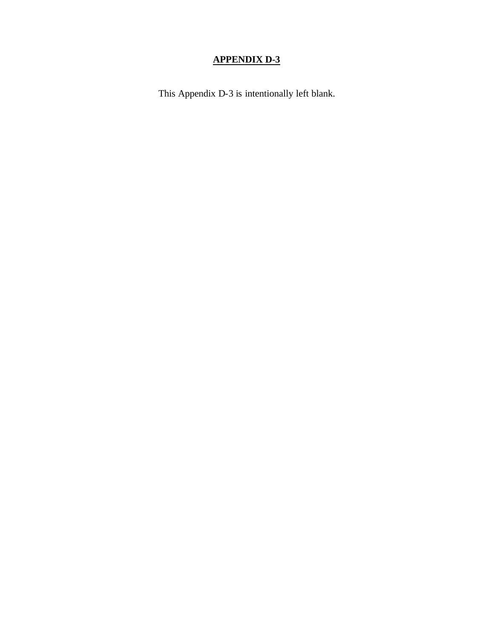## **APPENDIX D-3**

This Appendix D-3 is intentionally left blank.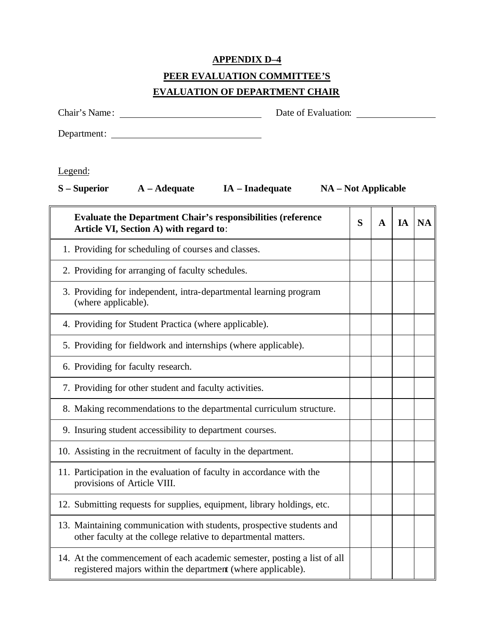#### **APPENDIX D–4**

## **PEER EVALUATION COMMITTEE'S**

### **EVALUATION OF DEPARTMENT CHAIR**

Chair's Name: Date of Evaluation:

Department:

Legend:

**S – Superior A – Adequate IA – Inadequate NA – Not Applicable**

| <b>Evaluate the Department Chair's responsibilities (reference</b><br>Article VI, Section A) with regard to:                            | S | A | IA | <b>NA</b> |
|-----------------------------------------------------------------------------------------------------------------------------------------|---|---|----|-----------|
| 1. Providing for scheduling of courses and classes.                                                                                     |   |   |    |           |
| 2. Providing for arranging of faculty schedules.                                                                                        |   |   |    |           |
| 3. Providing for independent, intra-departmental learning program<br>(where applicable).                                                |   |   |    |           |
| 4. Providing for Student Practica (where applicable).                                                                                   |   |   |    |           |
| 5. Providing for fieldwork and internships (where applicable).                                                                          |   |   |    |           |
| 6. Providing for faculty research.                                                                                                      |   |   |    |           |
| 7. Providing for other student and faculty activities.                                                                                  |   |   |    |           |
| 8. Making recommendations to the departmental curriculum structure.                                                                     |   |   |    |           |
| 9. Insuring student accessibility to department courses.                                                                                |   |   |    |           |
| 10. Assisting in the recruitment of faculty in the department.                                                                          |   |   |    |           |
| 11. Participation in the evaluation of faculty in accordance with the<br>provisions of Article VIII.                                    |   |   |    |           |
| 12. Submitting requests for supplies, equipment, library holdings, etc.                                                                 |   |   |    |           |
| 13. Maintaining communication with students, prospective students and<br>other faculty at the college relative to departmental matters. |   |   |    |           |
| 14. At the commencement of each academic semester, posting a list of all<br>registered majors within the department (where applicable). |   |   |    |           |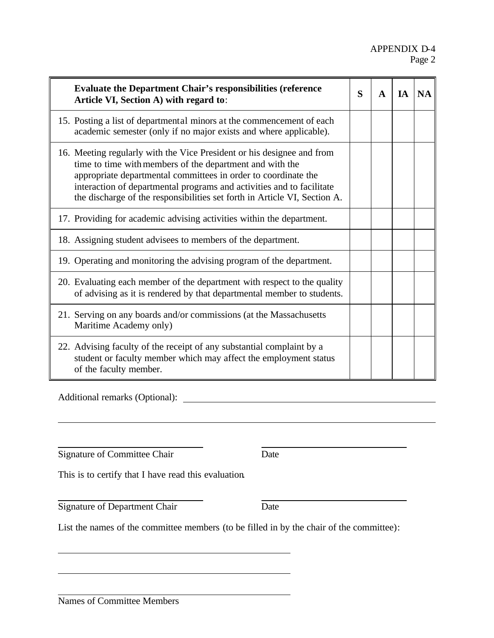| <b>Evaluate the Department Chair's responsibilities (reference</b><br>Article VI, Section A) with regard to:                                                                                                                                                                                                                                               | S | $\mathbf{A}$ | <b>IA</b> | <b>NA</b> |
|------------------------------------------------------------------------------------------------------------------------------------------------------------------------------------------------------------------------------------------------------------------------------------------------------------------------------------------------------------|---|--------------|-----------|-----------|
| 15. Posting a list of departmental minors at the commencement of each<br>academic semester (only if no major exists and where applicable).                                                                                                                                                                                                                 |   |              |           |           |
| 16. Meeting regularly with the Vice President or his designee and from<br>time to time with members of the department and with the<br>appropriate departmental committees in order to coordinate the<br>interaction of departmental programs and activities and to facilitate<br>the discharge of the responsibilities set forth in Article VI, Section A. |   |              |           |           |
| 17. Providing for academic advising activities within the department.                                                                                                                                                                                                                                                                                      |   |              |           |           |
| 18. Assigning student advisees to members of the department.                                                                                                                                                                                                                                                                                               |   |              |           |           |
| 19. Operating and monitoring the advising program of the department.                                                                                                                                                                                                                                                                                       |   |              |           |           |
| 20. Evaluating each member of the department with respect to the quality<br>of advising as it is rendered by that departmental member to students.                                                                                                                                                                                                         |   |              |           |           |
| 21. Serving on any boards and/or commissions (at the Massachusetts<br>Maritime Academy only)                                                                                                                                                                                                                                                               |   |              |           |           |
| 22. Advising faculty of the receipt of any substantial complaint by a<br>student or faculty member which may affect the employment status<br>of the faculty member.                                                                                                                                                                                        |   |              |           |           |

Additional remarks (Optional):

Signature of Committee Chair Date

This is to certify that I have read this evaluation.

Signature of Department Chair Date

List the names of the committee members (to be filled in by the chair of the committee):

Names of Committee Members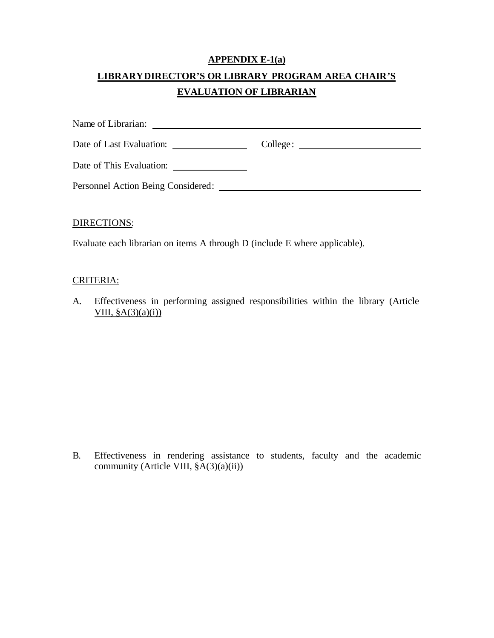## **APPENDIX E-1(a) LIBRARY DIRECTOR'S OR LIBRARY PROGRAM AREA CHAIR'S EVALUATION OF LIBRARIAN**

| Name of Librarian:                 |                                                                                                                                   |
|------------------------------------|-----------------------------------------------------------------------------------------------------------------------------------|
| Date of Last Evaluation:           | College:<br><u> 1980 - Jan Stein Bernstein, mars an der Stein Bernstein und der Stein Bernstein und der Stein Bernstein und d</u> |
| Date of This Evaluation:           |                                                                                                                                   |
| Personnel Action Being Considered: |                                                                                                                                   |

#### DIRECTIONS:

Evaluate each librarian on items A through D (include E where applicable).

#### CRITERIA:

A. Effectiveness in performing assigned responsibilities within the library (Article VIII,  $\S A(3)(a)(i)$ 

B. Effectiveness in rendering assistance to students, faculty and the academic community (Article VIII, §A(3)(a)(ii))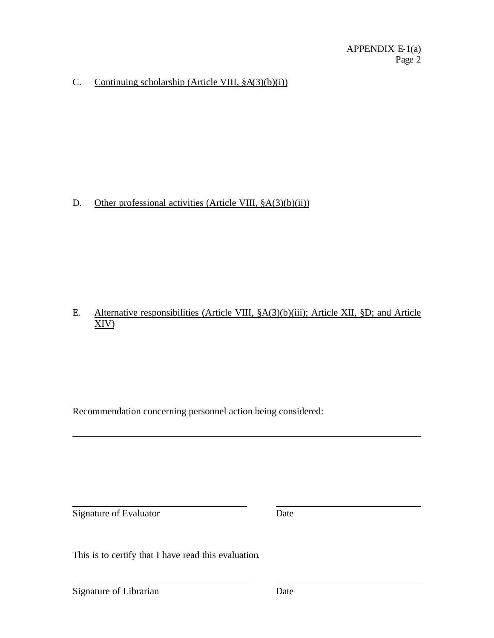### C. Continuing scholarship (Article VIII,  $\S A(3)(b)(i)$ )

#### D. Other professional activities (Article VIII,  $\S A(3)(b)(ii)$ )

#### E. Alternative responsibilities (Article VIII, §A(3)(b)(iii); Article XII, §D; and Article XIV)

Recommendation concerning personnel action being considered:

Signature of Evaluator Date

This is to certify that I have read this evaluation.

Signature of Librarian Date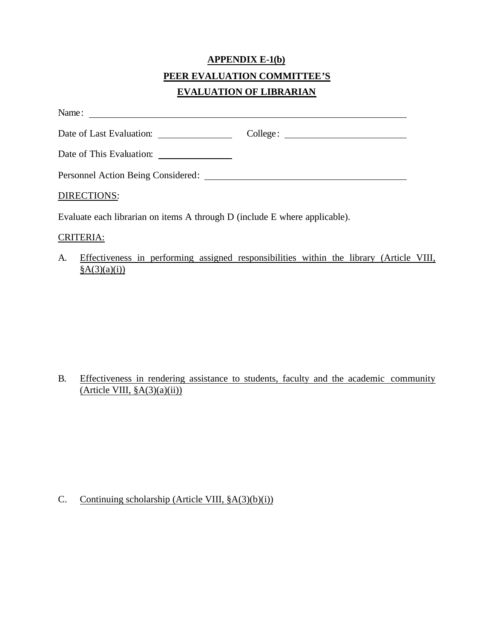## **APPENDIX E-1(b) PEER EVALUATION COMMITTEE'S EVALUATION OF LIBRARIAN**

Name:

| Date of Last Evaluation:           | College: |
|------------------------------------|----------|
| Date of This Evaluation:           |          |
| Personnel Action Being Considered: |          |
| DIRECTIONS:                        |          |

Evaluate each librarian on items A through D (include E where applicable).

#### CRITERIA:

A. Effectiveness in performing assigned responsibilities within the library (Article VIII,  $\frac{\S{A(3)}(a)(i)}{i}$ 

### B. Effectiveness in rendering assistance to students, faculty and the academic community  $(A$ rticle VIII,  $§A(3)(a)(ii))$

### C. Continuing scholarship (Article VIII,  $\S A(3)(b)(i)$ )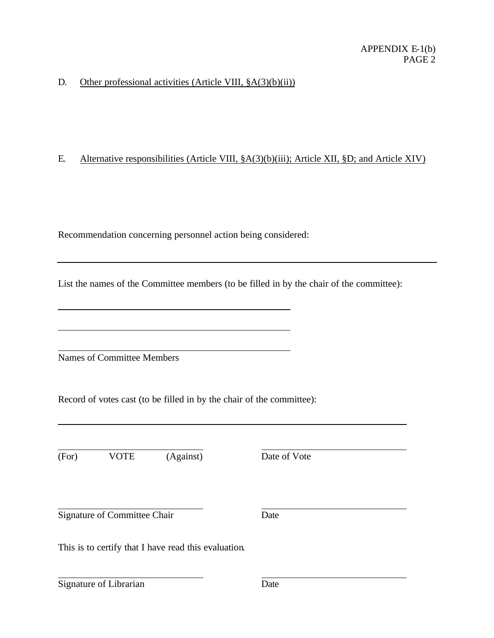#### D. Other professional activities (Article VIII,  $\S A(3)(b)(ii)$ )

#### E. Alternative responsibilities (Article VIII, §A(3)(b)(iii); Article XII, §D; and Article XIV)

Recommendation concerning personnel action being considered:

List the names of the Committee members (to be filled in by the chair of the committee):

Names of Committee Members

Record of votes cast (to be filled in by the chair of the committee):

(For) VOTE (Against) Date of Vote

Signature of Committee Chair Date

This is to certify that I have read this evaluation.

Signature of Librarian Date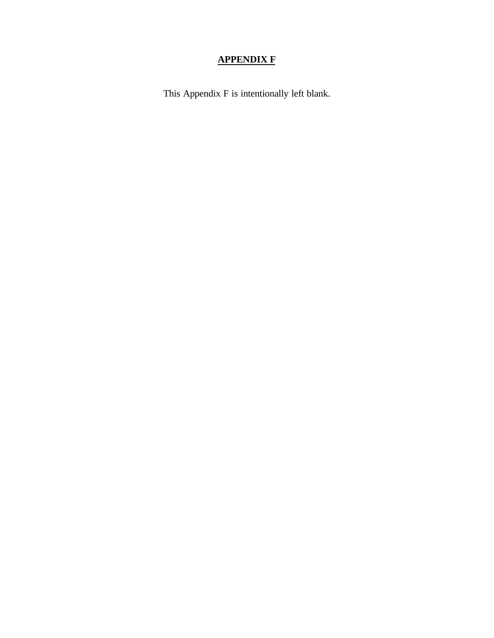## **APPENDIX F**

This Appendix F is intentionally left blank.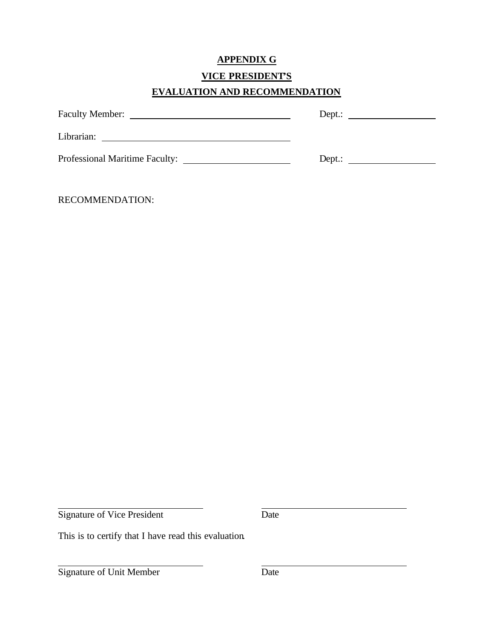### **APPENDIX G**

#### **VICE PRESIDENT'S**

### **EVALUATION AND RECOMMENDATION**

| <b>Faculty Member:</b>         | Depth: |
|--------------------------------|--------|
| Librarian:                     |        |
| Professional Maritime Faculty: | Depth: |

RECOMMENDATION:

Signature of Vice President Date

This is to certify that I have read this evaluation.

Signature of Unit Member Date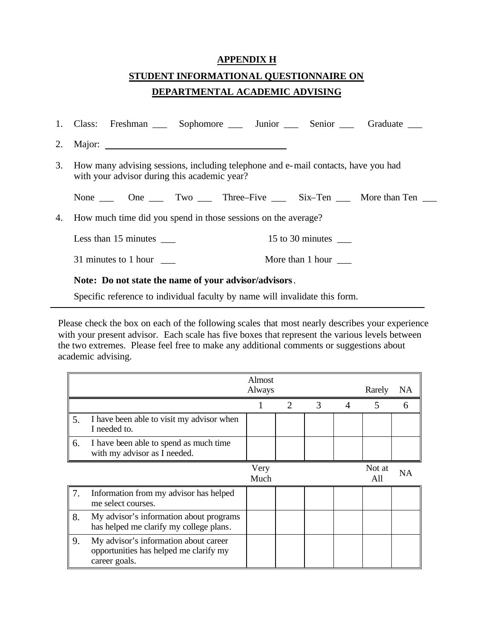#### **APPENDIX H**

## **STUDENT INFORMATIONAL QUESTIONNAIRE ON DEPARTMENTAL ACADEMIC ADVISING**

|                                                       |                                                                                                                                      |  |  |  |                  | 1. Class: Freshman _____ Sophomore ______ Junior ______ Senior ______ Graduate ___ |
|-------------------------------------------------------|--------------------------------------------------------------------------------------------------------------------------------------|--|--|--|------------------|------------------------------------------------------------------------------------|
|                                                       |                                                                                                                                      |  |  |  |                  |                                                                                    |
|                                                       | 3. How many advising sessions, including telephone and e-mail contacts, have you had<br>with your advisor during this academic year? |  |  |  |                  |                                                                                    |
|                                                       |                                                                                                                                      |  |  |  |                  | None <u>one</u> One Two Three–Five Six–Ten More than Ten __                        |
|                                                       | 4. How much time did you spend in those sessions on the average?                                                                     |  |  |  |                  |                                                                                    |
|                                                       | Less than $15$ minutes $\_\_$                                                                                                        |  |  |  | 15 to 30 minutes |                                                                                    |
|                                                       | 31 minutes to 1 hour                                                                                                                 |  |  |  | More than 1 hour |                                                                                    |
| Note: Do not state the name of your advisor/advisors. |                                                                                                                                      |  |  |  |                  |                                                                                    |

Specific reference to individual faculty by name will invalidate this form.

Please check the box on each of the following scales that most nearly describes your experience with your present advisor. Each scale has five boxes that represent the various levels between the two extremes. Please feel free to make any additional comments or suggestions about academic advising.

|    |                                                                                                  | Almost<br>Always |                             |               |                | Rarely        | NA |
|----|--------------------------------------------------------------------------------------------------|------------------|-----------------------------|---------------|----------------|---------------|----|
|    |                                                                                                  |                  | $\mathcal{D}_{\mathcal{L}}$ | $\mathcal{R}$ | $\overline{4}$ | 5             | 6  |
| 5. | I have been able to visit my advisor when<br>I needed to.                                        |                  |                             |               |                |               |    |
| 6. | I have been able to spend as much time<br>with my advisor as I needed.                           |                  |                             |               |                |               |    |
|    |                                                                                                  | Very<br>Much     |                             |               |                | Not at<br>All | NA |
| 7. | Information from my advisor has helped<br>me select courses.                                     |                  |                             |               |                |               |    |
| 8. | My advisor's information about programs<br>has helped me clarify my college plans.               |                  |                             |               |                |               |    |
| 9. | My advisor's information about career<br>opportunities has helped me clarify my<br>career goals. |                  |                             |               |                |               |    |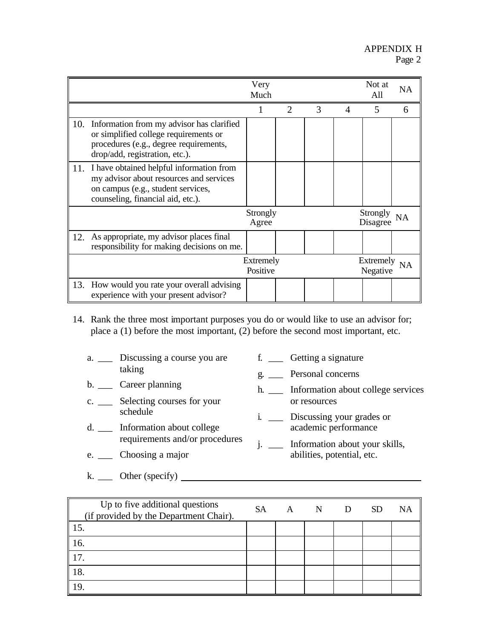|     |                                                                                                                                                                | Very<br>Much          |                       |   |          | Not at<br>All         | <b>NA</b> |
|-----|----------------------------------------------------------------------------------------------------------------------------------------------------------------|-----------------------|-----------------------|---|----------|-----------------------|-----------|
|     |                                                                                                                                                                |                       | $\mathcal{D}_{\cdot}$ | 3 | $\Delta$ | 5                     | 6         |
| 10. | Information from my advisor has clarified<br>or simplified college requirements or<br>procedures (e.g., degree requirements,<br>drop/add, registration, etc.). |                       |                       |   |          |                       |           |
| 11. | I have obtained helpful information from<br>my advisor about resources and services<br>on campus (e.g., student services,<br>counseling, financial aid, etc.). |                       |                       |   |          |                       |           |
|     |                                                                                                                                                                | Strongly<br>Agree     |                       |   |          | Strongly<br>Disagree  |           |
| 12. | As appropriate, my advisor places final<br>responsibility for making decisions on me.                                                                          |                       |                       |   |          |                       |           |
|     |                                                                                                                                                                | Extremely<br>Positive |                       |   |          | Extremely<br>Negative | <b>NA</b> |
| 13. | How would you rate your overall advising<br>experience with your present advisor?                                                                              |                       |                       |   |          |                       |           |

- 14. Rank the three most important purposes you do or would like to use an advisor for; place a (1) before the most important, (2) before the second most important, etc.
	- a. \_\_\_ Discussing a course you are taking
	- b. \_\_\_ Career planning
	- c. \_\_\_ Selecting courses for your schedule
	- d. \_\_\_ Information about college requirements and/or procedures
	- e. \_\_\_ Choosing a major
	- $k.$   $\qquad \qquad$  Other (specify)  $\qquad \qquad$
- Up to five additional questions (if provided by the Department Chair). SA A N D SD NA 15. 16. 17. 18. 19.
- f. \_\_\_ Getting a signature
- g. \_\_\_ Personal concerns
- h. \_\_\_ Information about college services or resources
- i. \_\_\_ Discussing your grades or academic performance
- j. \_\_\_ Information about your skills, abilities, potential, etc.
-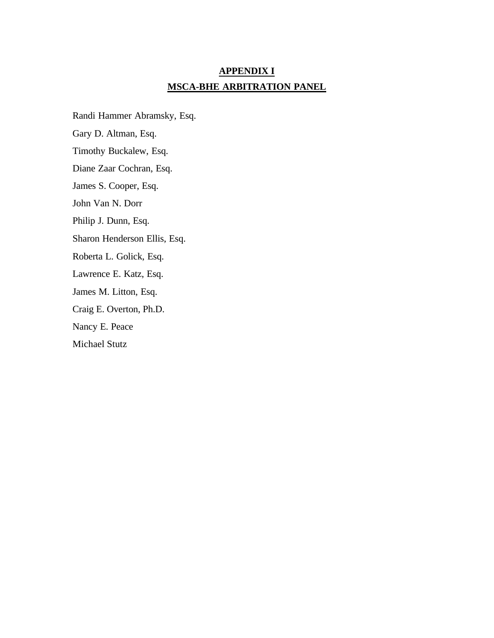## **APPENDIX I MSCA-BHE ARBITRATION PANEL**

Randi Hammer Abramsky, Esq. Gary D. Altman, Esq. Timothy Buckalew, Esq. Diane Zaar Cochran, Esq. James S. Cooper, Esq. John Van N. Dorr Philip J. Dunn, Esq. Sharon Henderson Ellis, Esq. Roberta L. Golick, Esq. Lawrence E. Katz, Esq. James M. Litton, Esq. Craig E. Overton, Ph.D. Nancy E. Peace Michael Stutz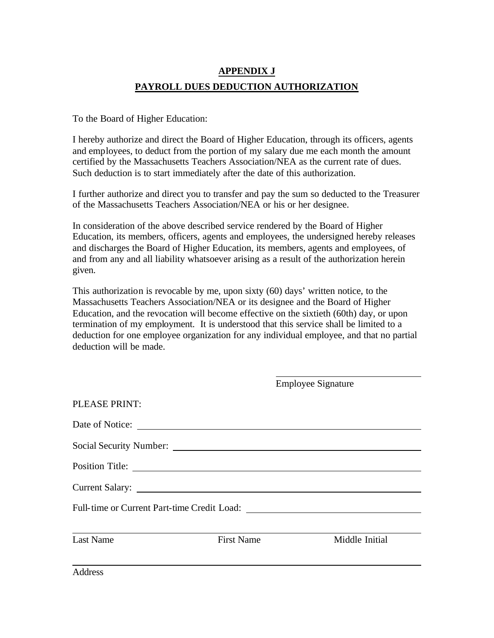## **APPENDIX J PAYROLL DUES DEDUCTION AUTHORIZATION**

To the Board of Higher Education:

I hereby authorize and direct the Board of Higher Education, through its officers, agents and employees, to deduct from the portion of my salary due me each month the amount certified by the Massachusetts Teachers Association/NEA as the current rate of dues. Such deduction is to start immediately after the date of this authorization.

I further authorize and direct you to transfer and pay the sum so deducted to the Treasurer of the Massachusetts Teachers Association/NEA or his or her designee.

In consideration of the above described service rendered by the Board of Higher Education, its members, officers, agents and employees, the undersigned hereby releases and discharges the Board of Higher Education, its members, agents and employees, of and from any and all liability whatsoever arising as a result of the authorization herein given.

This authorization is revocable by me, upon sixty (60) days' written notice, to the Massachusetts Teachers Association/NEA or its designee and the Board of Higher Education, and the revocation will become effective on the sixtieth (60th) day, or upon termination of my employment. It is understood that this service shall be limited to a deduction for one employee organization for any individual employee, and that no partial deduction will be made.

|                  |                   | <b>Employee Signature</b> |
|------------------|-------------------|---------------------------|
| PLEASE PRINT:    |                   |                           |
|                  | Date of Notice:   |                           |
|                  |                   |                           |
|                  |                   |                           |
|                  |                   |                           |
|                  |                   |                           |
|                  |                   |                           |
| <b>Last Name</b> | <b>First Name</b> | Middle Initial            |
| Address          |                   |                           |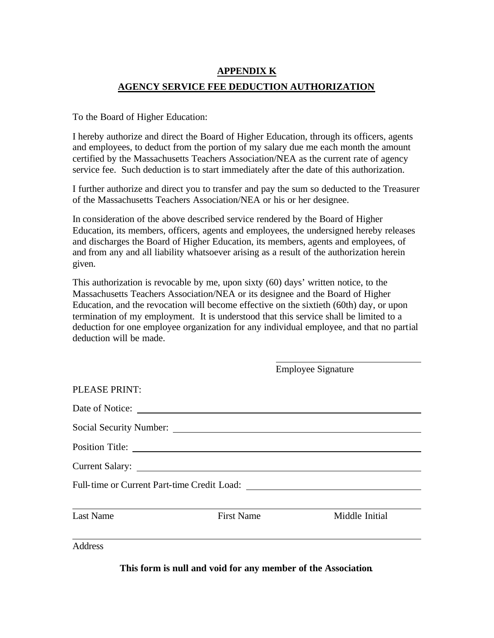## **APPENDIX K AGENCY SERVICE FEE DEDUCTION AUTHORIZATION**

To the Board of Higher Education:

I hereby authorize and direct the Board of Higher Education, through its officers, agents and employees, to deduct from the portion of my salary due me each month the amount certified by the Massachusetts Teachers Association/NEA as the current rate of agency service fee. Such deduction is to start immediately after the date of this authorization.

I further authorize and direct you to transfer and pay the sum so deducted to the Treasurer of the Massachusetts Teachers Association/NEA or his or her designee.

In consideration of the above described service rendered by the Board of Higher Education, its members, officers, agents and employees, the undersigned hereby releases and discharges the Board of Higher Education, its members, agents and employees, of and from any and all liability whatsoever arising as a result of the authorization herein given.

This authorization is revocable by me, upon sixty (60) days' written notice, to the Massachusetts Teachers Association/NEA or its designee and the Board of Higher Education, and the revocation will become effective on the sixtieth (60th) day, or upon termination of my employment. It is understood that this service shall be limited to a deduction for one employee organization for any individual employee, and that no partial deduction will be made.

|                  |                   | <b>Employee Signature</b> |
|------------------|-------------------|---------------------------|
| PLEASE PRINT:    |                   |                           |
| Date of Notice:  |                   |                           |
|                  |                   |                           |
| Position Title:  |                   |                           |
| Current Salary:  |                   |                           |
|                  |                   |                           |
|                  |                   |                           |
| <b>Last Name</b> | <b>First Name</b> | Middle Initial            |
| <b>Address</b>   |                   |                           |

**This form is null and void for any member of the Association**.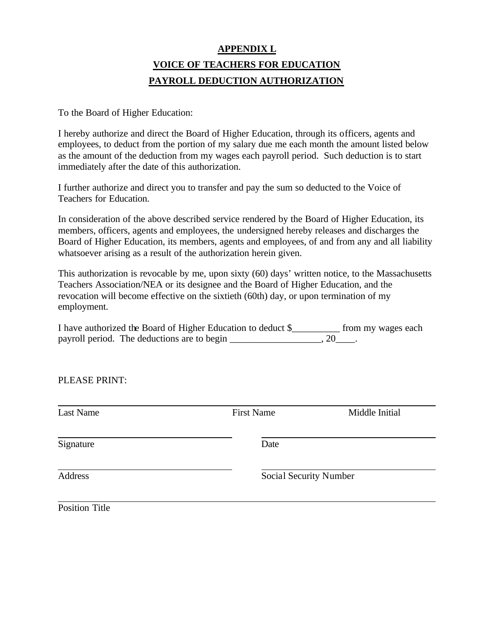## **APPENDIX L VOICE OF TEACHERS FOR EDUCATION PAYROLL DEDUCTION AUTHORIZATION**

To the Board of Higher Education:

I hereby authorize and direct the Board of Higher Education, through its officers, agents and employees, to deduct from the portion of my salary due me each month the amount listed below as the amount of the deduction from my wages each payroll period. Such deduction is to start immediately after the date of this authorization.

I further authorize and direct you to transfer and pay the sum so deducted to the Voice of Teachers for Education.

In consideration of the above described service rendered by the Board of Higher Education, its members, officers, agents and employees, the undersigned hereby releases and discharges the Board of Higher Education, its members, agents and employees, of and from any and all liability whatsoever arising as a result of the authorization herein given.

This authorization is revocable by me, upon sixty (60) days' written notice, to the Massachusetts Teachers Association/NEA or its designee and the Board of Higher Education, and the revocation will become effective on the sixtieth (60th) day, or upon termination of my employment.

I have authorized the Board of Higher Education to deduct \$\_\_\_\_\_\_\_\_\_\_ from my wages each payroll period. The deductions are to begin \_\_\_\_\_\_\_\_\_\_\_\_\_\_\_\_\_, 20\_\_\_\_.

PLEASE PRINT:

| <b>Last Name</b> | <b>First Name</b>             | Middle Initial |
|------------------|-------------------------------|----------------|
| Signature        | Date                          |                |
| Address          | <b>Social Security Number</b> |                |
| Position Title   |                               |                |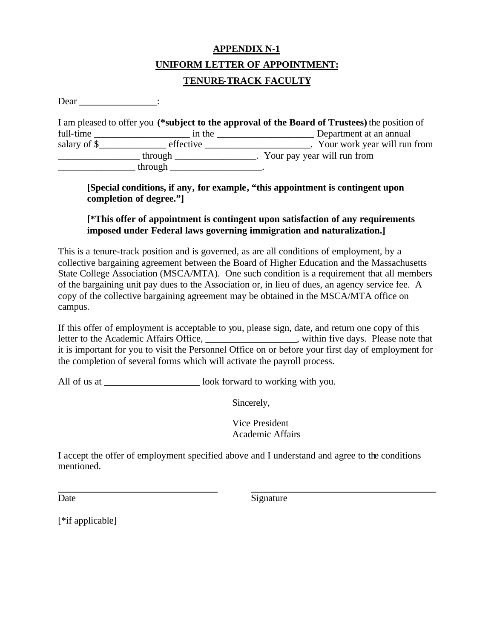## **APPENDIX N-1 UNIFORM LETTER OF APPOINTMENT: TENURE-TRACK FACULTY**

Dear  $\Box$ 

|              |           | I am pleased to offer you (*subject to the approval of the Board of Trustees) the position of |
|--------------|-----------|-----------------------------------------------------------------------------------------------|
| full-time    | in the    | Department at an annual                                                                       |
| salary of \$ | effective | Your work year will run from                                                                  |
|              | through   | Your pay year will run from                                                                   |
|              | through   |                                                                                               |

**[Special conditions, if any, for example, "this appointment is contingent upon completion of degree."]**

#### **[\*This offer of appointment is contingent upon satisfaction of any requirements imposed under Federal laws governing immigration and naturalization.]**

This is a tenure-track position and is governed, as are all conditions of employment, by a collective bargaining agreement between the Board of Higher Education and the Massachusetts State College Association (MSCA/MTA). One such condition is a requirement that all members of the bargaining unit pay dues to the Association or, in lieu of dues, an agency service fee. A copy of the collective bargaining agreement may be obtained in the MSCA/MTA office on campus.

If this offer of employment is acceptable to you, please sign, date, and return one copy of this letter to the Academic Affairs Office, \_\_\_\_\_\_\_\_\_\_\_\_\_\_\_\_\_, within five days. Please note that it is important for you to visit the Personnel Office on or before your first day of employment for the completion of several forms which will activate the payroll process.

All of us at \_\_\_\_\_\_\_\_\_\_\_\_\_\_\_\_\_\_\_\_ look forward to working with you.

Sincerely,

Vice President Academic Affairs

I accept the offer of employment specified above and I understand and agree to the conditions mentioned.

Date Signature

[<sup>\*</sup>if applicable]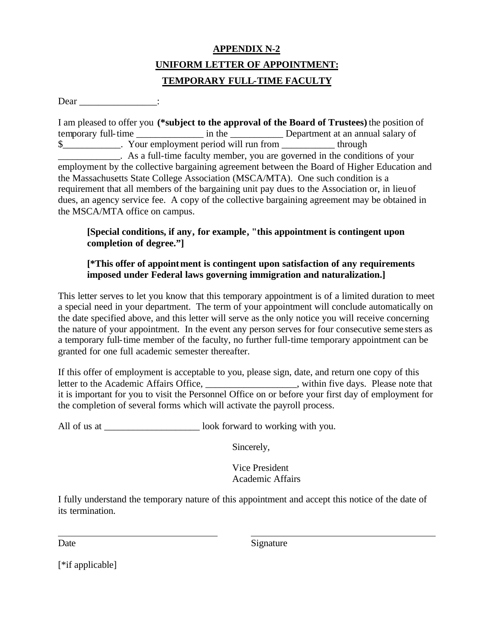## **APPENDIX N-2 UNIFORM LETTER OF APPOINTMENT: TEMPORARY FULL-TIME FACULTY**

Dear :

I am pleased to offer you **(\*subject to the approval of the Board of Trustees)** the position of temporary full-time  $\frac{1}{2}$  in the Department at an annual salary of \$\_\_\_\_\_\_\_\_\_\_\_\_. Your employment period will run from \_\_\_\_\_\_\_\_\_\_\_ through \_\_\_\_\_\_\_\_\_\_\_\_\_. As a full-time faculty member, you are governed in the conditions of your employment by the collective bargaining agreement between the Board of Higher Education and the Massachusetts State College Association (MSCA/MTA). One such condition is a requirement that all members of the bargaining unit pay dues to the Association or, in lieu of dues, an agency service fee. A copy of the collective bargaining agreement may be obtained in the MSCA/MTA office on campus.

#### **[Special conditions, if any, for example, "this appointment is contingent upon completion of degree."]**

#### **[\*This offer of appointment is contingent upon satisfaction of any requirements imposed under Federal laws governing immigration and naturalization.]**

This letter serves to let you know that this temporary appointment is of a limited duration to meet a special need in your department. The term of your appointment will conclude automatically on the date specified above, and this letter will serve as the only notice you will receive concerning the nature of your appointment. In the event any person serves for four consecutive seme sters as a temporary full-time member of the faculty, no further full-time temporary appointment can be granted for one full academic semester thereafter.

If this offer of employment is acceptable to you, please sign, date, and return one copy of this letter to the Academic Affairs Office, \_\_\_\_\_\_\_\_\_\_\_\_\_\_\_\_\_, within five days. Please note that it is important for you to visit the Personnel Office on or before your first day of employment for the completion of several forms which will activate the payroll process.

All of us at  $\qquad \qquad$  look forward to working with you.

Sincerely,

Vice President Academic Affairs

I fully understand the temporary nature of this appointment and accept this notice of the date of its termination.

Date Signature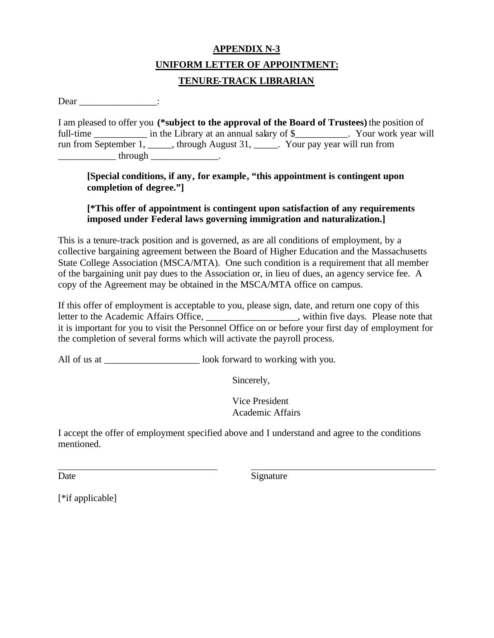## **APPENDIX N-3 UNIFORM LETTER OF APPOINTMENT: TENURE-TRACK LIBRARIAN**

Dear :

I am pleased to offer you **(\*subject to the approval of the Board of Trustees)** the position of full-time in the Library at an annual salary of \$ Tour work year will run from September 1, \_\_\_\_\_, through August 31, \_\_\_\_\_. Your pay year will run from  $\hbox{through}$ 

**[Special conditions, if any, for example, "this appointment is contingent upon completion of degree."]**

#### **[\*This offer of appointment is contingent upon satisfaction of any requirements imposed under Federal laws governing immigration and naturalization.]**

This is a tenure-track position and is governed, as are all conditions of employment, by a collective bargaining agreement between the Board of Higher Education and the Massachusetts State College Association (MSCA/MTA). One such condition is a requirement that all member of the bargaining unit pay dues to the Association or, in lieu of dues, an agency service fee. A copy of the Agreement may be obtained in the MSCA/MTA office on campus.

If this offer of employment is acceptable to you, please sign, date, and return one copy of this letter to the Academic Affairs Office, \_\_\_\_\_\_\_\_\_\_\_\_\_\_\_\_, within five days. Please note that it is important for you to visit the Personnel Office on or before your first day of employment for the completion of several forms which will activate the payroll process.

All of us at  $\qquad \qquad$  look forward to working with you.

Sincerely,

Vice President Academic Affairs

I accept the offer of employment specified above and I understand and agree to the conditions mentioned.

Date Signature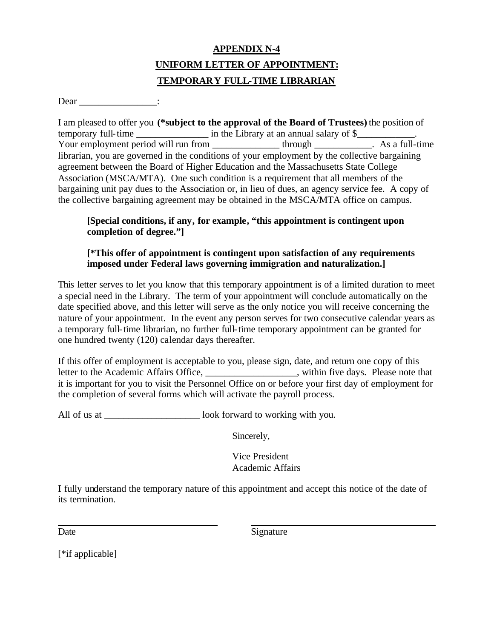## **APPENDIX N-4 UNIFORM LETTER OF APPOINTMENT: TEMPORARY FULL-TIME LIBRARIAN**

Dear :

I am pleased to offer you **(\*subject to the approval of the Board of Trustees)** the position of temporary full-time in the Library at an annual salary of \$ Your employment period will run from \_\_\_\_\_\_\_\_\_\_\_\_\_\_\_\_\_\_\_through \_\_\_\_\_\_\_\_\_\_\_. As a full-time librarian, you are governed in the conditions of your employment by the collective bargaining agreement between the Board of Higher Education and the Massachusetts State College Association (MSCA/MTA). One such condition is a requirement that all members of the bargaining unit pay dues to the Association or, in lieu of dues, an agency service fee. A copy of the collective bargaining agreement may be obtained in the MSCA/MTA office on campus.

#### **[Special conditions, if any, for example, "this appointment is contingent upon completion of degree."]**

#### **[\*This offer of appointment is contingent upon satisfaction of any requirements imposed under Federal laws governing immigration and naturalization.]**

This letter serves to let you know that this temporary appointment is of a limited duration to meet a special need in the Library. The term of your appointment will conclude automatically on the date specified above, and this letter will serve as the only notice you will receive concerning the nature of your appointment. In the event any person serves for two consecutive calendar years as a temporary full-time librarian, no further full-time temporary appointment can be granted for one hundred twenty (120) calendar days thereafter.

If this offer of employment is acceptable to you, please sign, date, and return one copy of this letter to the Academic Affairs Office, \_\_\_\_\_\_\_\_\_\_\_\_\_\_\_\_, within five days. Please note that it is important for you to visit the Personnel Office on or before your first day of employment for the completion of several forms which will activate the payroll process.

All of us at \_\_\_\_\_\_\_\_\_\_\_\_\_\_\_\_\_\_\_\_\_\_\_\_\_ look forward to working with you.

Sincerely,

Vice President Academic Affairs

I fully understand the temporary nature of this appointment and accept this notice of the date of its termination.

Date Signature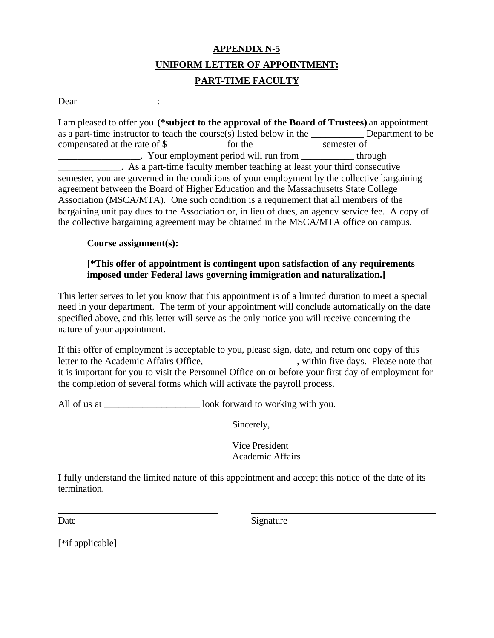## **APPENDIX N-5 UNIFORM LETTER OF APPOINTMENT: PART-TIME FACULTY**

Dear :

I am pleased to offer you **(\*subject to the approval of the Board of Trustees)** an appointment as a part-time instructor to teach the course(s) listed below in the  $\blacksquare$  Department to be compensated at the rate of \$\_\_\_\_\_\_\_\_\_\_\_\_ for the \_\_\_\_\_\_\_\_\_\_\_\_\_\_semester of \_\_\_\_\_\_\_\_\_\_\_\_\_\_\_\_\_. Your employment period will run from \_\_\_\_\_\_\_\_\_\_\_ through **Example 1** As a part-time faculty member teaching at least your third consecutive semester, you are governed in the conditions of your employment by the collective bargaining agreement between the Board of Higher Education and the Massachusetts State College Association (MSCA/MTA). One such condition is a requirement that all members of the bargaining unit pay dues to the Association or, in lieu of dues, an agency service fee. A copy of the collective bargaining agreement may be obtained in the MSCA/MTA office on campus.

#### **Course assignment(s):**

#### **[\*This offer of appointment is contingent upon satisfaction of any requirements imposed under Federal laws governing immigration and naturalization.]**

This letter serves to let you know that this appointment is of a limited duration to meet a special need in your department. The term of your appointment will conclude automatically on the date specified above, and this letter will serve as the only notice you will receive concerning the nature of your appointment.

If this offer of employment is acceptable to you, please sign, date, and return one copy of this letter to the Academic Affairs Office, \_\_\_\_\_\_\_\_\_\_\_\_\_\_\_\_\_\_\_, within five days. Please note that it is important for you to visit the Personnel Office on or before your first day of employment for the completion of several forms which will activate the payroll process.

All of us at  $\qquad \qquad$  look forward to working with you.

Sincerely,

Vice President Academic Affairs

I fully understand the limited nature of this appointment and accept this notice of the date of its termination.

Date Signature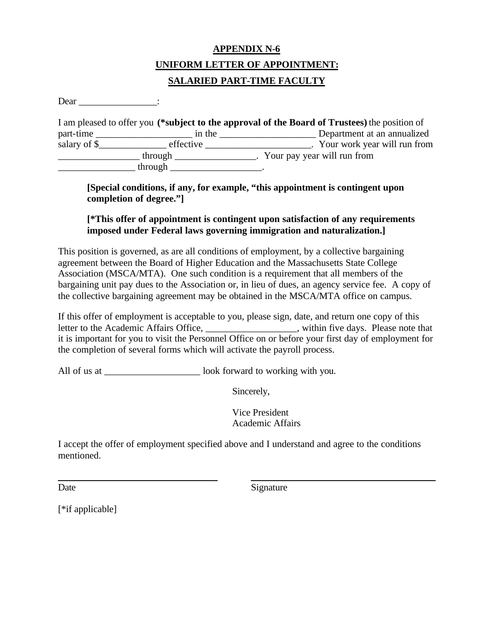## **APPENDIX N-6 UNIFORM LETTER OF APPOINTMENT: SALARIED PART-TIME FACULTY**

Dear :

|              |           | I am pleased to offer you (*subject to the approval of the Board of Trustees) the position of |
|--------------|-----------|-----------------------------------------------------------------------------------------------|
| part-time    | in the    | Department at an annualized                                                                   |
| salary of \$ | effective | Your work year will run from                                                                  |
|              | through   | Your pay year will run from                                                                   |
|              | through   |                                                                                               |

**[Special conditions, if any, for example, "this appointment is contingent upon completion of degree."]**

#### **[\*This offer of appointment is contingent upon satisfaction of any requirements imposed under Federal laws governing immigration and naturalization.]**

This position is governed, as are all conditions of employment, by a collective bargaining agreement between the Board of Higher Education and the Massachusetts State College Association (MSCA/MTA). One such condition is a requirement that all members of the bargaining unit pay dues to the Association or, in lieu of dues, an agency service fee. A copy of the collective bargaining agreement may be obtained in the MSCA/MTA office on campus.

If this offer of employment is acceptable to you, please sign, date, and return one copy of this letter to the Academic Affairs Office, \_\_\_\_\_\_\_\_\_\_\_\_\_\_\_, within five days. Please note that it is important for you to visit the Personnel Office on or before your first day of employment for the completion of several forms which will activate the payroll process.

All of us at \_\_\_\_\_\_\_\_\_\_\_\_\_\_\_\_\_\_\_\_\_\_\_\_\_\_ look forward to working with you.

Sincerely,

Vice President Academic Affairs

I accept the offer of employment specified above and I understand and agree to the conditions mentioned.

Date Signature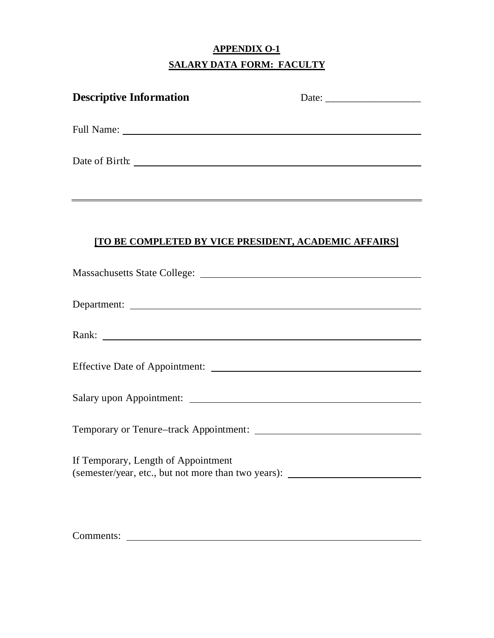## **APPENDIX O-1 SALARY DATA FORM: FACULTY**

| <b>Descriptive Information</b>                                                                                                                                                                                                 |  |
|--------------------------------------------------------------------------------------------------------------------------------------------------------------------------------------------------------------------------------|--|
|                                                                                                                                                                                                                                |  |
|                                                                                                                                                                                                                                |  |
| <u> 1989 - Johann Stoff, amerikansk politiker (d. 1989)</u>                                                                                                                                                                    |  |
| [TO BE COMPLETED BY VICE PRESIDENT, ACADEMIC AFFAIRS]                                                                                                                                                                          |  |
| Massachusetts State College:                                                                                                                                                                                                   |  |
|                                                                                                                                                                                                                                |  |
| Rank: Natural Communication of the Communication of the Communication of the Communication of the Communication of the Communication of the Communication of the Communication of the Communication of the Communication of th |  |
|                                                                                                                                                                                                                                |  |
|                                                                                                                                                                                                                                |  |
| Temporary or Tenure–track Appointment:                                                                                                                                                                                         |  |
| If Temporary, Length of Appointment<br>(semester/year, etc., but not more than two years):                                                                                                                                     |  |
|                                                                                                                                                                                                                                |  |

Comments: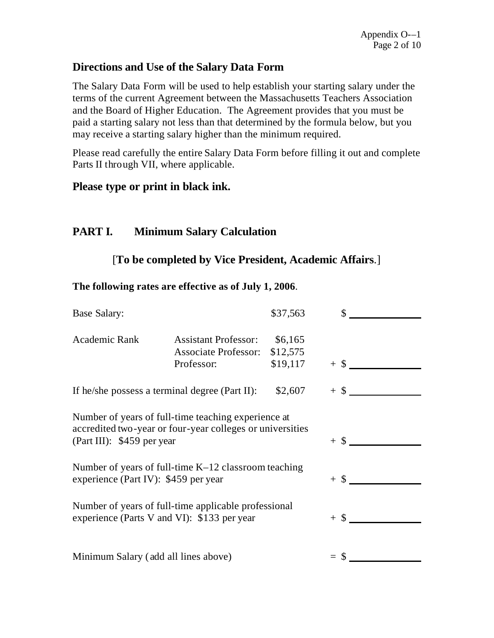### **Directions and Use of the Salary Data Form**

The Salary Data Form will be used to help establish your starting salary under the terms of the current Agreement between the Massachusetts Teachers Association and the Board of Higher Education. The Agreement provides that you must be paid a starting salary not less than that determined by the formula below, but you may receive a starting salary higher than the minimum required.

Please read carefully the entire Salary Data Form before filling it out and complete Parts II through VII, where applicable.

### **Please type or print in black ink.**

## **PART I. Minimum Salary Calculation**

### [**To be completed by Vice President, Academic Affairs**.]

#### **The following rates are effective as of July 1, 2006**.

| <b>Base Salary:</b>                                                                                                                            |                                                                          | \$37,563                              | $\mathbb{S}$ |        |
|------------------------------------------------------------------------------------------------------------------------------------------------|--------------------------------------------------------------------------|---------------------------------------|--------------|--------|
| Academic Rank                                                                                                                                  | <b>Assistant Professor:</b><br><b>Associate Professor:</b><br>Professor: | \$6,165<br>\$12,575<br>$$19,117$ + \$ |              |        |
| If he/she possess a terminal degree (Part II):                                                                                                 |                                                                          | \$2,607                               |              | $+$ \$ |
| Number of years of full-time teaching experience at<br>accredited two-year or four-year colleges or universities<br>(Part III): \$459 per year |                                                                          |                                       | $+$ \$       |        |
| Number of years of full-time $K-12$ classroom teaching<br>experience (Part IV): \$459 per year                                                 |                                                                          |                                       |              |        |
| Number of years of full-time applicable professional<br>experience (Parts V and VI): \$133 per year                                            |                                                                          |                                       | $+$ \$       |        |
| Minimum Salary (add all lines above)                                                                                                           |                                                                          |                                       |              |        |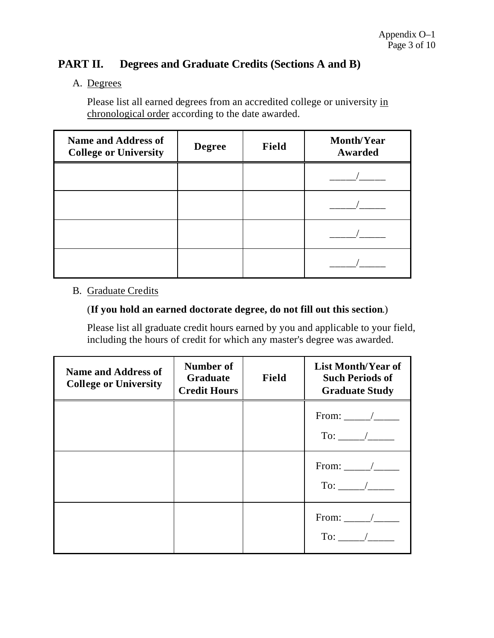## **PART II. Degrees and Graduate Credits (Sections A and B)**

### A. Degrees

Please list all earned degrees from an accredited college or university in chronological order according to the date awarded.

| <b>Name and Address of</b><br><b>College or University</b> | <b>Degree</b> | Field | <b>Month/Year</b><br>Awarded |
|------------------------------------------------------------|---------------|-------|------------------------------|
|                                                            |               |       |                              |
|                                                            |               |       |                              |
|                                                            |               |       |                              |
|                                                            |               |       |                              |

## B. Graduate Credits

#### (**If you hold an earned doctorate degree, do not fill out this section**.)

Please list all graduate credit hours earned by you and applicable to your field, including the hours of credit for which any master's degree was awarded.

| <b>Name and Address of</b><br><b>College or University</b> | Number of<br>Graduate<br><b>Credit Hours</b> | Field | List Month/Year of<br><b>Such Periods of</b><br><b>Graduate Study</b> |
|------------------------------------------------------------|----------------------------------------------|-------|-----------------------------------------------------------------------|
|                                                            |                                              |       | From: $\frac{\ }{\ }$<br>$To:$ /                                      |
|                                                            |                                              |       | $To:$ /                                                               |
|                                                            |                                              |       | From: _____/____<br>$To:$ $\qquad \qquad$                             |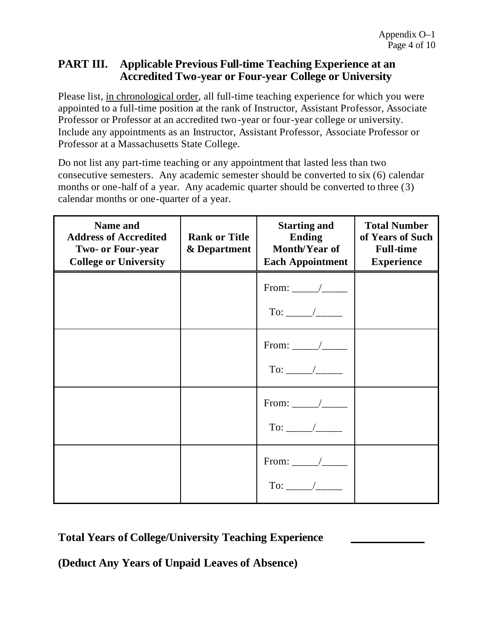### **PART III. Applicable Previous Full-time Teaching Experience at an Accredited Two-year or Four-year College or University**

Please list, in chronological order, all full-time teaching experience for which you were appointed to a full-time position at the rank of Instructor, Assistant Professor, Associate Professor or Professor at an accredited two-year or four-year college or university. Include any appointments as an Instructor, Assistant Professor, Associate Professor or Professor at a Massachusetts State College.

Do not list any part-time teaching or any appointment that lasted less than two consecutive semesters. Any academic semester should be converted to six (6) calendar months or one-half of a year. Any academic quarter should be converted to three (3) calendar months or one-quarter of a year.

| <b>Name and</b><br><b>Address of Accredited</b><br><b>Two- or Four-year</b><br><b>College or University</b> | <b>Rank or Title</b><br>& Department | <b>Starting and</b><br><b>Ending</b><br>Month/Year of<br><b>Each Appointment</b> | <b>Total Number</b><br>of Years of Such<br><b>Full-time</b><br><b>Experience</b> |
|-------------------------------------------------------------------------------------------------------------|--------------------------------------|----------------------------------------------------------------------------------|----------------------------------------------------------------------------------|
|                                                                                                             |                                      | From: _____/____                                                                 |                                                                                  |
|                                                                                                             |                                      | To: $\frac{\ }{\ }$                                                              |                                                                                  |
|                                                                                                             |                                      |                                                                                  |                                                                                  |
|                                                                                                             |                                      | From: _____/____<br>To: $\frac{\ }{\ }$                                          |                                                                                  |

**Total Years of College/University Teaching Experience \_\_\_\_\_\_\_\_\_\_\_\_\_**

**(Deduct Any Years of Unpaid Leaves of Absence)**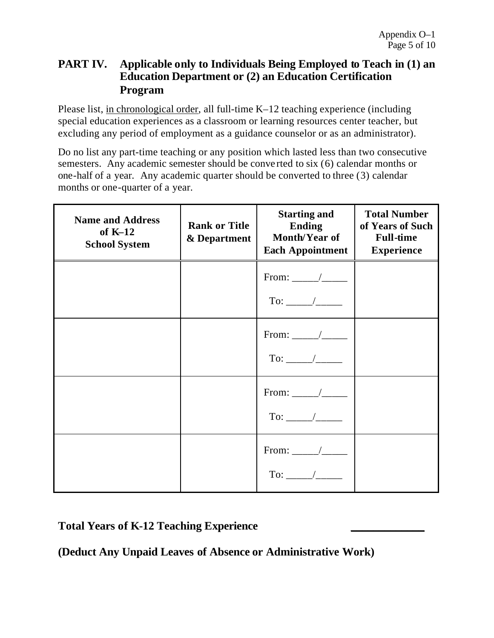## **PART IV. Applicable only to Individuals Being Employed to Teach in (1) an Education Department or (2) an Education Certification Program**

Please list, in chronological order, all full-time K–12 teaching experience (including special education experiences as a classroom or learning resources center teacher, but excluding any period of employment as a guidance counselor or as an administrator).

Do no list any part-time teaching or any position which lasted less than two consecutive semesters. Any academic semester should be conve rted to six (6) calendar months or one-half of a year. Any academic quarter should be converted to three (3) calendar months or one-quarter of a year.

| <b>Name and Address</b><br>of $K-12$<br><b>School System</b> | <b>Rank or Title</b><br>& Department | <b>Starting and</b><br><b>Ending</b><br>Month/Year of<br><b>Each Appointment</b> | <b>Total Number</b><br>of Years of Such<br><b>Full-time</b><br><b>Experience</b> |
|--------------------------------------------------------------|--------------------------------------|----------------------------------------------------------------------------------|----------------------------------------------------------------------------------|
|                                                              |                                      | From: $\frac{\ }{\ }$                                                            |                                                                                  |
|                                                              |                                      | From: _____/____<br>To: $\frac{\ }{\ }$                                          |                                                                                  |
|                                                              |                                      | From: _____/____                                                                 |                                                                                  |
|                                                              |                                      | From: $\frac{\ }{\ }$<br>To: $\frac{\ }{\ }$                                     |                                                                                  |

**Total Years of K-12 Teaching Experience \_\_\_\_\_\_\_\_\_\_\_\_\_**

**(Deduct Any Unpaid Leaves of Absence or Administrative Work)**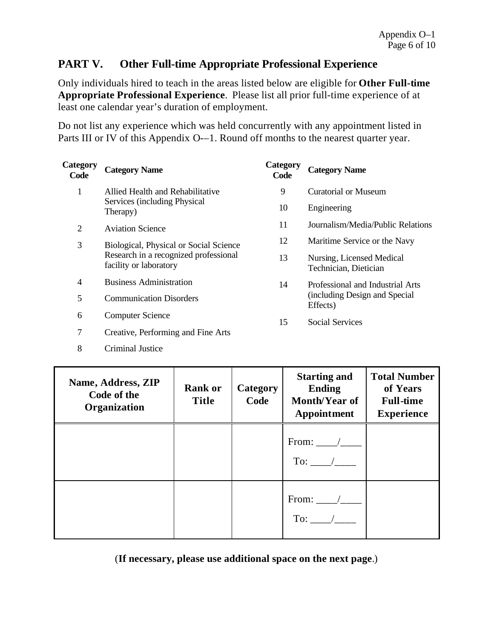## **PART V. Other Full-time Appropriate Professional Experience**

Only individuals hired to teach in the areas listed below are eligible for **Other Full-time Appropriate Professional Experience**. Please list all prior full-time experience of at least one calendar year's duration of employment.

Do not list any experience which was held concurrently with any appointment listed in Parts III or IV of this Appendix O-–1. Round off months to the nearest quarter year.

| <b>Category</b><br>Code                                         | <b>Category Name</b>                     | Category<br>Code                                   | <b>Category Name</b>                       |
|-----------------------------------------------------------------|------------------------------------------|----------------------------------------------------|--------------------------------------------|
| 1                                                               | Allied Health and Rehabilitative         | 9                                                  | Curatorial or Museum                       |
|                                                                 | Services (including Physical<br>Therapy) | 10                                                 | Engineering                                |
| 2                                                               | <b>Aviation Science</b>                  | 11                                                 | Journalism/Media/Public Relations          |
| 3                                                               | Biological, Physical or Social Science   | 12                                                 | Maritime Service or the Navy               |
| Research in a recognized professional<br>facility or laboratory | 13                                       | Nursing, Licensed Medical<br>Technician, Dietician |                                            |
| $\overline{4}$                                                  | <b>Business Administration</b>           | 14                                                 | Professional and Industrial Arts           |
| 5                                                               | <b>Communication Disorders</b>           |                                                    | (including Design and Special)<br>Effects) |
| 6                                                               | <b>Computer Science</b>                  | 15                                                 | <b>Social Services</b>                     |

- 7 Creative, Performing and Fine Arts
- 8 Criminal Justice

| Name, Address, ZIP<br>Code of the<br>Organization | <b>Rank or</b><br><b>Title</b> | <b>Category</b><br>Code | <b>Starting and</b><br><b>Ending</b><br>Month/Year of<br>Appointment | <b>Total Number</b><br>of Years<br><b>Full-time</b><br><b>Experience</b> |
|---------------------------------------------------|--------------------------------|-------------------------|----------------------------------------------------------------------|--------------------------------------------------------------------------|
|                                                   |                                |                         | From: $\frac{\ }{\ }$<br>$To:$ /                                     |                                                                          |
|                                                   |                                |                         | From: $\frac{\ }{\ }$                                                |                                                                          |

(**If necessary, please use additional space on the next page**.)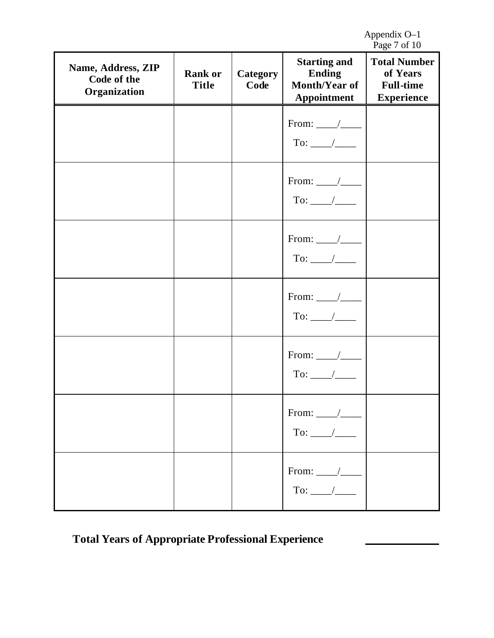Appendix O–1 Page 7 of 10

| Name, Address, ZIP<br>Code of the<br>Organization | <b>Rank or</b><br><b>Title</b> | <b>Category</b><br>Code | <b>Starting and</b><br><b>Ending</b><br>Month/Year of<br>Appointment | 145<br><b>Total Number</b><br>of Years<br><b>Full-time</b><br><b>Experience</b> |
|---------------------------------------------------|--------------------------------|-------------------------|----------------------------------------------------------------------|---------------------------------------------------------------------------------|
|                                                   |                                |                         | From: $\_\_\_\_\_\_\_\_\_\$                                          |                                                                                 |
|                                                   |                                |                         | From: $\frac{\ }{\ }$<br>To: ____/____                               |                                                                                 |
|                                                   |                                |                         | From: $\_\_\_\_\_\_\_\_\_\$                                          |                                                                                 |
|                                                   |                                |                         | From: $\_\_\_\_\_\_\_\_\_\$                                          |                                                                                 |
|                                                   |                                |                         |                                                                      |                                                                                 |
|                                                   |                                |                         | From: $\_\_\_\_\_\_\_\_\$                                            |                                                                                 |
|                                                   |                                |                         | From: $\_\_\_\_\_\_\_\_\_\$                                          |                                                                                 |

# **Total Years of Appropriate Professional Experience \_\_\_\_\_\_\_\_\_\_\_\_\_**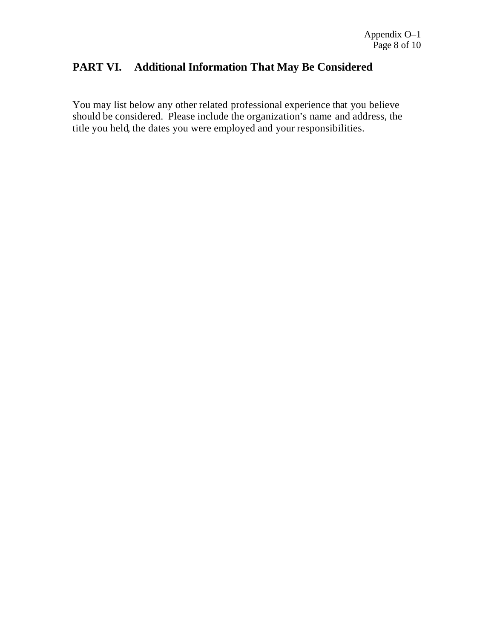## **PART VI. Additional Information That May Be Considered**

You may list below any other related professional experience that you believe should be considered. Please include the organization's name and address, the title you held, the dates you were employed and your responsibilities.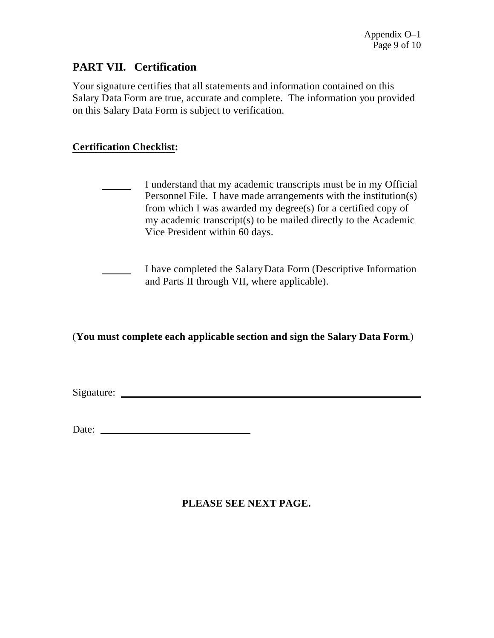## **PART VII. Certification**

Your signature certifies that all statements and information contained on this Salary Data Form are true, accurate and complete. The information you provided on this Salary Data Form is subject to verification.

### **Certification Checklist:**

- I understand that my academic transcripts must be in my Official Personnel File. I have made arrangements with the institution(s) from which I was awarded my degree(s) for a certified copy of my academic transcript(s) to be mailed directly to the Academic Vice President within 60 days.
- I have completed the SalaryData Form (Descriptive Information and Parts II through VII, where applicable).

(**You must complete each applicable section and sign the Salary Data Form**.)

Signature:

| Date: |  |
|-------|--|
|       |  |
|       |  |

### **PLEASE SEE NEXT PAGE.**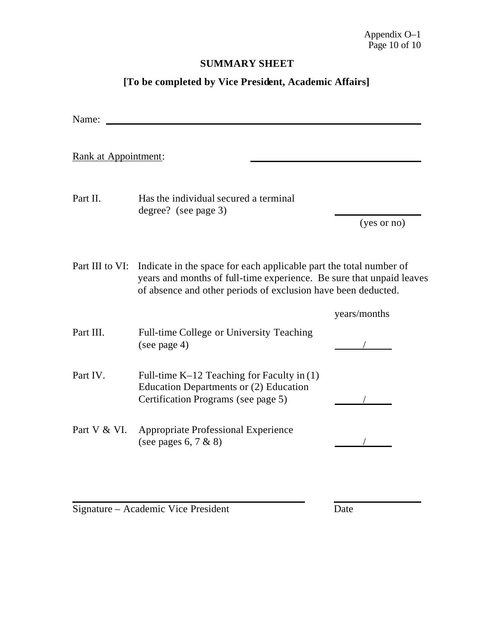### **SUMMARY SHEET**

## **[To be completed by Vice President, Academic Affairs]**

| Name:                |                                                                                                                                                                                                             |              |
|----------------------|-------------------------------------------------------------------------------------------------------------------------------------------------------------------------------------------------------------|--------------|
| Rank at Appointment: |                                                                                                                                                                                                             |              |
| Part II.             | Has the individual secured a terminal<br>degree? (see page 3)                                                                                                                                               |              |
|                      |                                                                                                                                                                                                             | (yes or no)  |
| Part III to VI:      | Indicate in the space for each applicable part the total number of<br>years and months of full-time experience. Be sure that unpaid leaves<br>of absence and other periods of exclusion have been deducted. |              |
|                      |                                                                                                                                                                                                             | years/months |
| Part III.            | Full-time College or University Teaching<br>(see page 4)                                                                                                                                                    |              |
| Part IV.             | Full-time K-12 Teaching for Faculty in (1)<br>Education Departments or (2) Education<br>Certification Programs (see page 5)                                                                                 |              |
| Part V & VI.         | <b>Appropriate Professional Experience</b><br>(see pages $6, 7 & 8$ )                                                                                                                                       |              |

Signature – Academic Vice President Date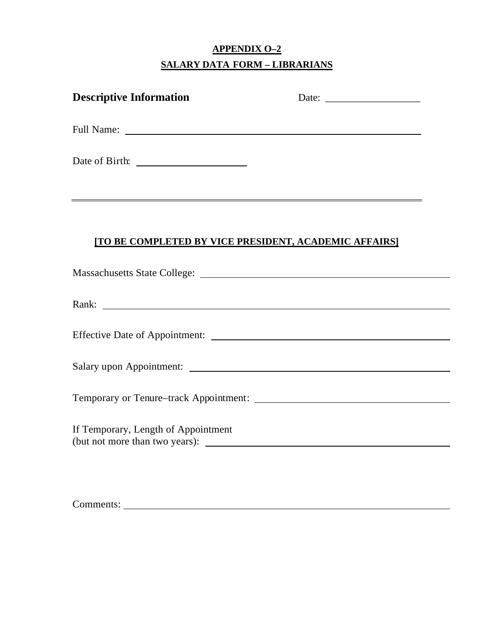## **APPENDIX O–2 SALARY DATA FORM – LIBRARIANS**

| <b>Descriptive Information</b>                        |                                                                                                                                                                                                                                |
|-------------------------------------------------------|--------------------------------------------------------------------------------------------------------------------------------------------------------------------------------------------------------------------------------|
|                                                       |                                                                                                                                                                                                                                |
|                                                       |                                                                                                                                                                                                                                |
|                                                       |                                                                                                                                                                                                                                |
| [TO BE COMPLETED BY VICE PRESIDENT, ACADEMIC AFFAIRS] |                                                                                                                                                                                                                                |
|                                                       |                                                                                                                                                                                                                                |
|                                                       | Rank: Natural Communication of the Communication of the Communication of the Communication of the Communication of the Communication of the Communication of the Communication of the Communication of the Communication of th |
|                                                       |                                                                                                                                                                                                                                |
|                                                       |                                                                                                                                                                                                                                |
|                                                       |                                                                                                                                                                                                                                |
| If Temporary, Length of Appointment                   | (but not more than two years):                                                                                                                                                                                                 |
|                                                       |                                                                                                                                                                                                                                |
|                                                       |                                                                                                                                                                                                                                |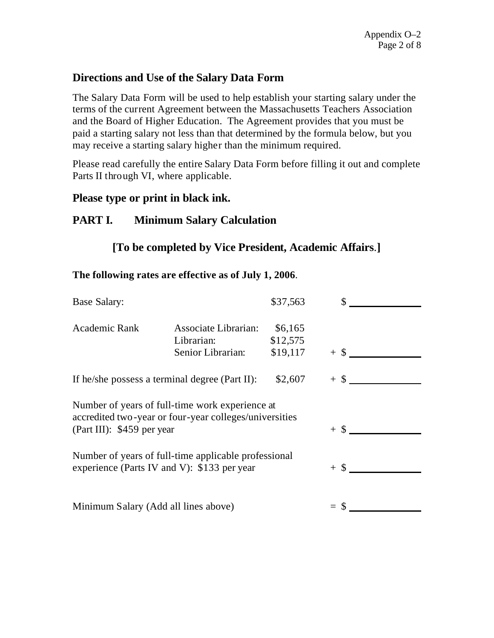## **Directions and Use of the Salary Data Form**

The Salary Data Form will be used to help establish your starting salary under the terms of the current Agreement between the Massachusetts Teachers Association and the Board of Higher Education. The Agreement provides that you must be paid a starting salary not less than that determined by the formula below, but you may receive a starting salary higher than the minimum required.

Please read carefully the entire Salary Data Form before filling it out and complete Parts II through VI, where applicable.

### **Please type or print in black ink.**

## **PART I. Minimum Salary Calculation**

## **[To be completed by Vice President, Academic Affairs**.**]**

### **The following rates are effective as of July 1, 2006**.

| Base Salary:                                                                                                                            |                                                         | \$37,563                        |        |  |
|-----------------------------------------------------------------------------------------------------------------------------------------|---------------------------------------------------------|---------------------------------|--------|--|
| Academic Rank                                                                                                                           | Associate Librarian:<br>Librarian:<br>Senior Librarian: | \$6,165<br>\$12,575<br>\$19,117 | $+$ \$ |  |
| \$2,607<br>If he/she possess a terminal degree (Part II):                                                                               |                                                         |                                 | $+$ \$ |  |
| Number of years of full-time work experience at<br>accredited two-year or four-year colleges/universities<br>(Part III): \$459 per year |                                                         |                                 | $+$ \$ |  |
| Number of years of full-time applicable professional<br>experience (Parts IV and V): \$133 per year                                     |                                                         |                                 | $+$ \$ |  |
| Minimum Salary (Add all lines above)                                                                                                    |                                                         |                                 |        |  |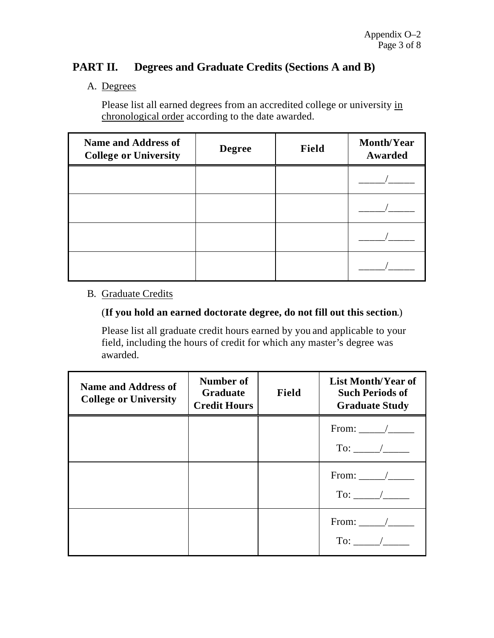## **PART II. Degrees and Graduate Credits (Sections A and B)**

### A. Degrees

Please list all earned degrees from an accredited college or university in chronological order according to the date awarded.

| <b>Name and Address of</b><br><b>College or University</b> | <b>Degree</b> | Field | <b>Month/Year</b><br>Awarded |
|------------------------------------------------------------|---------------|-------|------------------------------|
|                                                            |               |       |                              |
|                                                            |               |       |                              |
|                                                            |               |       |                              |
|                                                            |               |       |                              |

### B. Graduate Credits

### (**If you hold an earned doctorate degree, do not fill out this section**.)

Please list all graduate credit hours earned by you and applicable to your field, including the hours of credit for which any master's degree was awarded.

| <b>Name and Address of</b><br><b>College or University</b> | Number of<br>Graduate<br><b>Credit Hours</b> | Field | <b>List Month/Year of</b><br><b>Such Periods of</b><br><b>Graduate Study</b> |  |
|------------------------------------------------------------|----------------------------------------------|-------|------------------------------------------------------------------------------|--|
|                                                            |                                              |       | $To:$ /                                                                      |  |
|                                                            |                                              |       | From: $\angle$<br>To: $\frac{\ }{\ }$                                        |  |
|                                                            |                                              |       | From: $\_\_\_\_\_\_\_\_\$                                                    |  |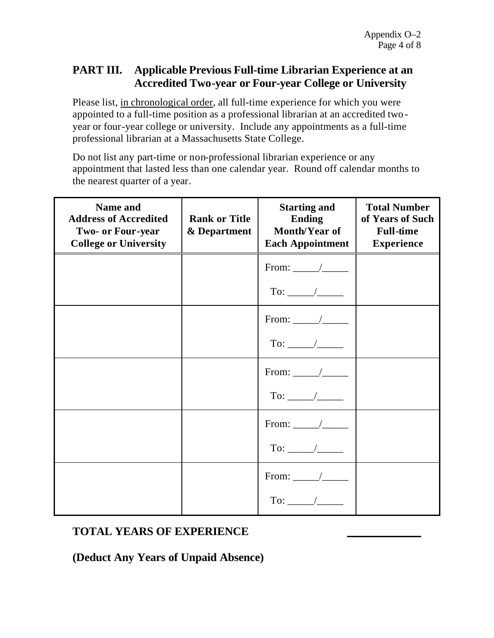## **PART III. Applicable Previous Full-time Librarian Experience at an Accredited Two-year or Four-year College or University**

Please list, in chronological order, all full-time experience for which you were appointed to a full-time position as a professional librarian at an accredited twoyear or four-year college or university. Include any appointments as a full-time professional librarian at a Massachusetts State College.

Do not list any part-time or non-professional librarian experience or any appointment that lasted less than one calendar year. Round off calendar months to the nearest quarter of a year.

| Name and<br><b>Address of Accredited</b><br><b>Two- or Four-year</b><br><b>College or University</b> | <b>Rank or Title</b><br>& Department | <b>Starting and</b><br><b>Ending</b><br>Month/Year of<br><b>Each Appointment</b> | <b>Total Number</b><br>of Years of Such<br><b>Full-time</b><br><b>Experience</b> |
|------------------------------------------------------------------------------------------------------|--------------------------------------|----------------------------------------------------------------------------------|----------------------------------------------------------------------------------|
|                                                                                                      |                                      | From: $\_\_\_\_\_\_\_\_\_\$                                                      |                                                                                  |
|                                                                                                      |                                      | To: $\frac{\ }{\ }$                                                              |                                                                                  |
|                                                                                                      |                                      | From: $\_\_\_\_\_\_\_\_\$                                                        |                                                                                  |
|                                                                                                      |                                      | To: $\frac{\ }{\ }$                                                              |                                                                                  |
|                                                                                                      |                                      | From: $\_\_\_\_\_\_\_\_\$                                                        |                                                                                  |
|                                                                                                      |                                      | To: $\frac{\ }{\ }$                                                              |                                                                                  |
|                                                                                                      |                                      |                                                                                  |                                                                                  |
|                                                                                                      |                                      | To: $\frac{\ }{\ }$                                                              |                                                                                  |
|                                                                                                      |                                      | From: $\_\_\_\_\_\_\_\_\$                                                        |                                                                                  |
|                                                                                                      |                                      |                                                                                  |                                                                                  |

## **TOTAL YEARS OF EXPERIENCE \_\_\_\_\_\_\_\_\_\_\_\_\_**

**(Deduct Any Years of Unpaid Absence)**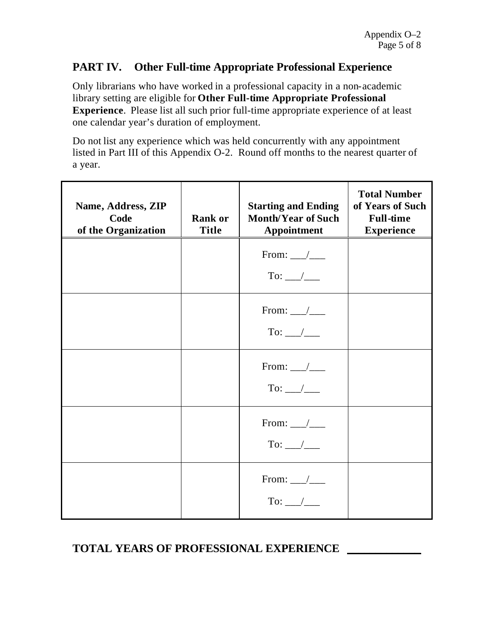## **PART IV. Other Full-time Appropriate Professional Experience**

Only librarians who have worked in a professional capacity in a non-academic library setting are eligible for **Other Full-time Appropriate Professional Experience**.Please list all such prior full-time appropriate experience of at least one calendar year's duration of employment.

Do not list any experience which was held concurrently with any appointment listed in Part III of this Appendix O-2. Round off months to the nearest quarter of a year.

| Name, Address, ZIP<br>Code<br>of the Organization | <b>Rank or</b><br><b>Title</b> | <b>Starting and Ending</b><br><b>Month/Year of Such</b><br><b>Appointment</b> | <b>Total Number</b><br>of Years of Such<br><b>Full-time</b><br><b>Experience</b> |
|---------------------------------------------------|--------------------------------|-------------------------------------------------------------------------------|----------------------------------------------------------------------------------|
|                                                   |                                | From: $\frac{\ }{\ }$<br>To: __/___                                           |                                                                                  |
|                                                   |                                | From: $\frac{\ }{\ }$<br>To: $\_\_\_\_\_\_\_\_\$                              |                                                                                  |
|                                                   |                                | From: $\_\_\_\_\_\_\_\_\$<br>To: $\_\_\_\_\_\_\_\_\$                          |                                                                                  |
|                                                   |                                | From: $\frac{\ }{\ }$<br>To: $\_\_\_\_\_\_\_\_\$                              |                                                                                  |
|                                                   |                                | From: $\_\_\_\_\_\_\_\_\$<br>To: $\_\_\_\_\_\_\_\_\$                          |                                                                                  |

## **TOTAL YEARS OF PROFESSIONAL EXPERIENCE \_\_\_\_\_\_\_\_\_\_\_\_\_**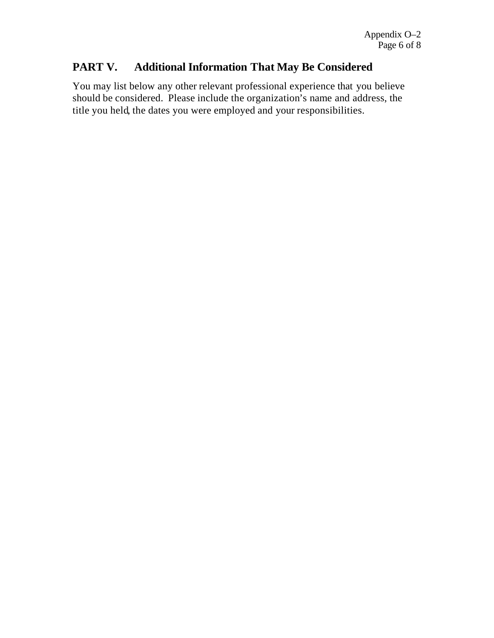## **PART V. Additional Information That May Be Considered**

You may list below any other relevant professional experience that you believe should be considered. Please include the organization's name and address, the title you held, the dates you were employed and your responsibilities.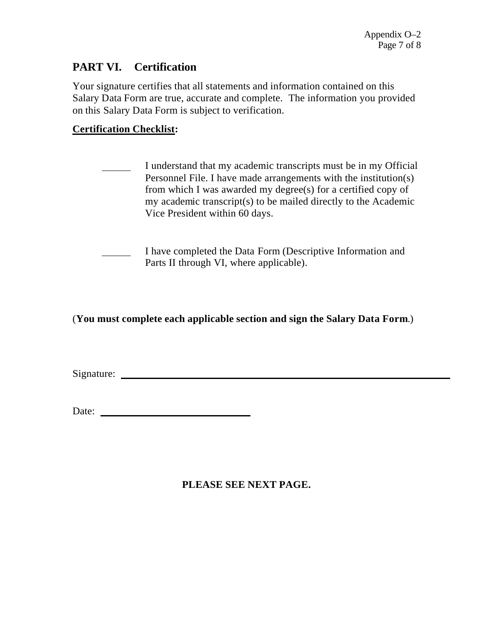## **PART VI. Certification**

Your signature certifies that all statements and information contained on this Salary Data Form are true, accurate and complete. The information you provided on this Salary Data Form is subject to verification.

### **Certification Checklist:**

- I understand that my academic transcripts must be in my Official Personnel File. I have made arrangements with the institution(s) from which I was awarded my degree(s) for a certified copy of my academic transcript(s) to be mailed directly to the Academic Vice President within 60 days.
- I have completed the Data Form (Descriptive Information and Parts II through VI, where applicable).

(**You must complete each applicable section and sign the Salary Data Form**.)

Signature:

### **PLEASE SEE NEXT PAGE.**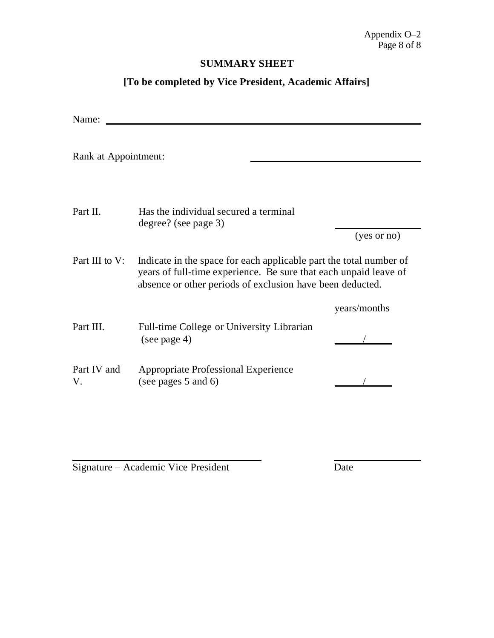### **SUMMARY SHEET**

## **[To be completed by Vice President, Academic Affairs]**

| Name:                |                                                                                                                                                                                                     |              |  |
|----------------------|-----------------------------------------------------------------------------------------------------------------------------------------------------------------------------------------------------|--------------|--|
| Rank at Appointment: |                                                                                                                                                                                                     |              |  |
| Part II.             | Has the individual secured a terminal<br>degree? (see page 3)                                                                                                                                       | (yes or no)  |  |
| Part III to V:       | Indicate in the space for each applicable part the total number of<br>years of full-time experience. Be sure that each unpaid leave of<br>absence or other periods of exclusion have been deducted. |              |  |
|                      |                                                                                                                                                                                                     | years/months |  |
| Part III.            | Full-time College or University Librarian<br>(see page 4)                                                                                                                                           |              |  |
| Part IV and<br>V.    | <b>Appropriate Professional Experience</b><br>(see pages 5 and 6)                                                                                                                                   |              |  |

Signature – Academic Vice President Date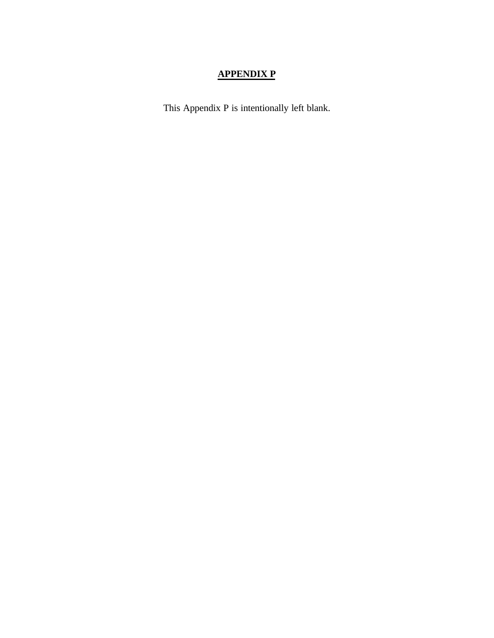## **APPENDIX P**

This Appendix P is intentionally left blank.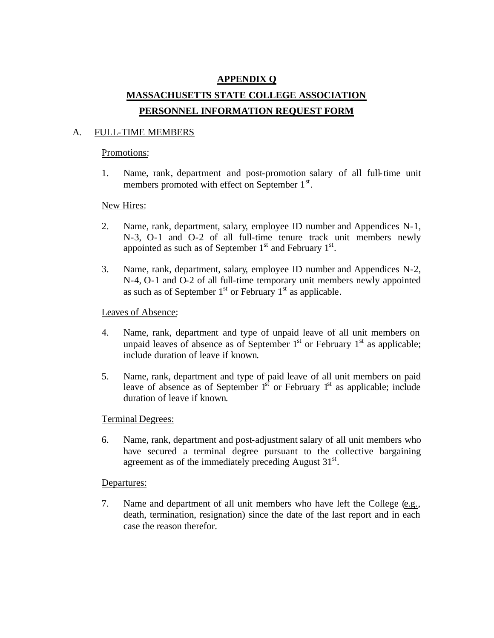## **APPENDIX Q MASSACHUSETTS STATE COLLEGE ASSOCIATION PERSONNEL INFORMATION REQUEST FORM**

#### A. FULL-TIME MEMBERS

#### Promotions:

1. Name, rank, department and post-promotion salary of all full-time unit members promoted with effect on September 1<sup>st</sup>.

#### New Hires:

- 2. Name, rank, department, salary, employee ID number and Appendices N-1, N-3, O-1 and O-2 of all full-time tenure track unit members newly appointed as such as of September  $1<sup>st</sup>$  and February  $1<sup>st</sup>$ .
- 3. Name, rank, department, salary, employee ID number and Appendices N-2, N-4, O-1 and O-2 of all full-time temporary unit members newly appointed as such as of September  $1<sup>st</sup>$  or February  $1<sup>st</sup>$  as applicable.

#### Leaves of Absence:

- 4. Name, rank, department and type of unpaid leave of all unit members on unpaid leaves of absence as of September  $1<sup>st</sup>$  or February  $1<sup>st</sup>$  as applicable; include duration of leave if known.
- 5. Name, rank, department and type of paid leave of all unit members on paid leave of absence as of September  $1<sup>st</sup>$  or February  $1<sup>st</sup>$  as applicable; include duration of leave if known.

#### Terminal Degrees:

6. Name, rank, department and post-adjustment salary of all unit members who have secured a terminal degree pursuant to the collective bargaining agreement as of the immediately preceding August  $31<sup>st</sup>$ .

#### Departures:

7. Name and department of all unit members who have left the College (e.g., death, termination, resignation) since the date of the last report and in each case the reason therefor.